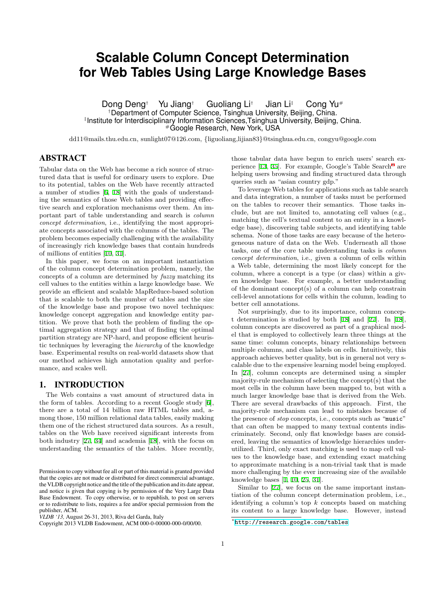# **Scalable Column Concept Determination for Web Tables Using Large Knowledge Bases**

Dong Deng*†* Yu Jiang*†* Guoliang Li*†* Jian Li*‡* Cong Yu#

*†*Department of Computer Science, Tsinghua University, Beijing, China.

*‡* Institute for Interdisciplinary Information Sciences,Tsinghua University, Beijing, China.

#Google Research, New York, USA

dd11@mails.thu.edu.cn, sunlight07@126.com, *{*liguoliang,lijian83*}*@tsinghua.edu.cn, congyu@google.com

# ABSTRACT

Tabular data on the Web has become a rich source of structured data that is useful for ordinary users to explore. Due to its potential, tables on the Web have recently attracted a number of studies [6, 18] with the goals of understanding the semantics of those Web tables and providing effective search and exploration mechanisms over them. An important part of table understanding and search is *column concept determination*, i.e., identifying the most appropriate concepts associate[d](#page-11-0) [with](#page-11-1) the columns of the tables. The problem becomes especially challenging with the availability of increasingly rich knowledge bases that contain hundreds of millions of entities [10, 31].

In this paper, we focus on an important instantiation of the column concept determination problem, namely, the concepts of a column are determined by *fuzzy* matching its cell values to the entities within a large knowledge base. We provide an efficient an[d s](#page-11-2)c[ala](#page-11-3)ble MapReduce-based solution that is scalable to both the number of tables and the size of the knowledge base and propose two novel techniques: knowledge concept aggregation and knowledge entity partition. We prove that both the problem of finding the optimal aggregation strategy and that of finding the optimal partition strategy are NP-hard, and propose efficient heuristic techniques by leveraging the *hierarchy* of the knowledge base. Experimental results on real-world datasets show that our method achieves high annotation quality and performance, and scales well.

## 1. INTRODUCTION

The Web contains a vast amount of structured data in the form of tables. According to a recent Google study [6], there are a total of 14 billion raw HTML tables and, among those, 150 million relational data tables, easily making them one of the richest structured data sources. As a result, tables on the Web have received significant interests from both industry [27, 34] and academia [18], with the focus [on](#page-11-0) understanding the semantics of the tables. More recently, those tabular data have begun to enrich users' search experience [13, 35]. For example, Google's Table Search*<sup>∗</sup>* are helping users browsing and finding structured data through queries such as "asian country gdp."

To leverage Web tables for applications such as table search and data integration, a number of tasks must be perfo[rm](#page-0-0)ed on the ta[ble](#page-11-6)[s to](#page-11-7) recover their semantics. Those tasks include, but are not limited to, annotating cell values (e.g., matching the cell's textual content to an entity in a knowledge base), discovering table subjects, and identifying table schema. None of those tasks are easy because of the heterogeneous nature of data on the Web. Underneath all those tasks, one of the core table understanding tasks is *column concept determination*, i.e., given a column of cells within a Web table, determining the most likely concept for the column, where a concept is a type (or class) within a given knowledge base. For example, a better understanding of the dominant concept(s) of a column can help constrain cell-level annotations for cells within the column, leading to better cell annotations.

Not surprisingly, due to its importance, column concept determination is studied by both [18] and [27]. In [18], column concepts are discovered as part of a graphical model that is employed to collectively learn three things at the same time: column concepts, binary relationships between multiple columns, and class labels on cells. Intuitively, this approach achieves better quality, but i[s in](#page-11-1) gener[al](#page-11-4) not ver[y s](#page-11-1)calable due to the expensive learning model being employed. In [27], column concepts are determined using a simpler majority-rule mechanism of selecting the concept(s) that the most cells in the column have been mapped to, but with a much larger knowledge base that is derived from the Web. There are several drawbacks of this approach. First, the maj[ori](#page-11-4)ty-rule mechanism can lead to mistakes because of the presence of *stop* concepts, i.e., concepts such as "music" that can often be mapped to many textual contents indiscriminately. Second, only flat knowledge bases are considered, leaving the semantics of knowledge hierarchies underutilized. Third, only exact matching is used to map cell values to the knowledge base, and extending exact matching to approximate matching is a non-trivial task that is made more challenging by the ever increasing size of the available knowledge bases [1, 10, 25, 31].

Similar to [27], we focus on the same important instantiation of the column concept determination problem, i.e., identifying a column's top *k* concepts based on matching its content to a large knowledge base. However, instead

Permission to copy without fee all or part of this material is granted provided that the copies are [not](#page-11-4) [made](#page-11-5) or distributed for d[irec](#page-11-1)t commercial advantage, the VLDB copyright notice and the title of the publication and its date appear, and notice is given that copying is by permission of the Very Large Data Base Endowment. To copy otherwise, or to republish, to post on servers or to redistribute to lists, requires a fee and/or special permission from the publisher, ACM.

*VLDB '13,* August 26-31, 2013, Riva del Garda, Italy

Copyright 2013 VLDB Endowment, ACM 000-0-00000-000-0/00/00.

<span id="page-0-0"></span>*<sup>∗</sup>* http://res[ear](#page-11-4)ch.google.com/tables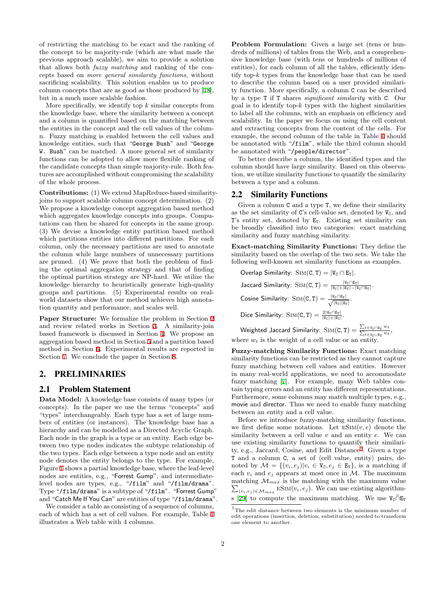of restricting the matching to be exact and the ranking of the concept to be majority-rule (which are what made the previous approach scalable), we aim to provide a solution that allows both *fuzzy matching* and ranking of the concepts based on *more general similarity functions*, without sacrificing scalability. This solution enables us to produce column concepts that are as good as those produced by [18], but in a much more scalable fashion.

More specifically, we identify top *k* similar concepts from the knowledge base, where the similarity between a concept and a column is quantified based on the matching between the entities in the concept and the cell values of the col[um](#page-11-1)n. Fuzzy matching is enabled between the cell values and knowledge entities, such that "George Bush" and "George W. Bush" can be matched. A more general set of similarity functions can be adopted to allow more flexible ranking of the candidate concepts than simple majority-rule. Both features are accomplished without compromising the scalability of the whole process.

**Contributions:** (1) We extend MapReduce-based similarityjoins to support scalable column concept determination. (2) We propose a knowledge concept aggregation based method which aggregates knowledge concepts into groups. Computations can then be shared for concepts in the same group. (3) We devise a knowledge entity partition based method which partitions entities into different partitions. For each column, only the necessary partitions are used to annotate the column while large numbers of unnecessary partitions are pruned. (4) We prove that both the problem of finding the optimal aggregation strategy and that of finding the optimal partition strategy are NP-hard. We utilize the knowledge hierarchy to heuristically generate high-quality groups and partitions. (5) Experimental results on realworld datasets show that our method achieves high annotation quantity and performance, and scales well.

**Paper Structure:** We formalize the problem in Section 2 and review related works in Section 3. A similarity-join based framework is discussed in Section 4. We propose an aggregation based method in Section 5 and a partition based method in Section 6. Experimental results are reported i[n](#page-1-0) Section 7. We conclude the paper in Section 8.

## 2. PRELIMINARIES

## 2.1 [Pr](#page-9-0)oblem [St](#page-7-0)atement

<span id="page-1-0"></span>**Data Model:** A knowledge base consists of many types (or concepts). In the paper we use the terms "concepts" and "types" interchangeably. Each type has a set of large numbers of entities (or instances). The knowledge base has a hierarchy and can be modelled as a Directed Acyclic Graph. Each node in the graph is a type or an entity. Each edge between two type nodes indicates the subtype relationship of the two types. Each edge between a type node and an entity node denotes the entity belongs to the type. For example, Figure 1 shows a partial knowledge base, where the leaf-level nodes are entities, e.g., "Forrest Gump", and intermediatelevel nodes are types, e.g., "/film" and "/film/drama". Type "/film/drama" is a subtype of "/film". "Forrest Gump" and "Catch Me If You Can" are entities of type "/film/drama".

We c[on](#page-2-0)sider a table as consisting of a sequence of columns, each of which has a set of cell values. For example, Table 1 illustrates a Web table with 4 columns.

**Problem Formulation:** Given a large set (tens or hundreds of millions) of tables from the Web, and a comprehensive knowledge base (with tens or hundreds of millions of entities), for each column of all the tables, efficiently identify top-*k* types from the knowledge base that can be used to describe the column based on a user provided similarity function. More specifically, a column C can be described by a type T if T shares *significant similarity* with C. Our goal is to identify top-*k* types with the highest similarities to label all the columns, with an emphasis on efficiency and scalability. In the paper we focus on using the cell content and extracting concepts from the content of the cells. For example, the second column of the table in Table 1 should be annotated with "/film", while the third column should be annotated with "/people/director".

To better describe a column, the identified types and the column should have large similarity. Based on this observation, we utilize similarity functions to quantify the s[im](#page-2-1)ilarity between a type and a column.

### 2.2 Similarity Functions

Given a column C and a type T, we define their similarity as the set similarity of  $\mathbb{C}$ 's cell-value set, denoted by  $V_c$ , and T's entity set, denoted by  $E_T$ . Existing set similarity can be broadly classified into two categories: exact matching similarity and fuzzy matching similarity.

**Exact-matching Similarity Functions:** They define the similarity based on the overlap of the two sets. We take the following well-known set similarity functions as examples.

Overlap Similarity:  $\text{Sim}(C, T) = |V_C \cap E_T|$ .  $\textsf{Jaccard}\;$  Similarity:  $\text{Sim}(C, T) = \frac{|v_C \cap E_T|}{|v_C| + |E_T| - |v_C \cap E_T|}.$  $\text{Cosine Similarity: }\text{Sim}(C, T) = \frac{|V_C \cap E_T|}{\sqrt{|V_C \cap E_T|}}$ *|*VC*||*ET*|* . Dice Similarity:  $\text{Sim}(C, T) = \frac{2|V_C \cap E_T|}{|V_C| + |E_T|}$ .

 $\text{Weighted Jaccard Similarity: } \text{SIM}(C, \texttt{T}) = \frac{\sum_{t \in \texttt{V}_C \cap \texttt{E}_\texttt{T}} w_t}{\sum_{t \in \texttt{V}_C \cup \texttt{E}_\texttt{T}} w_t},$ where  $w_t$  is the weight of a cell value or an entity.

**Fuzzy-matching Similarity Functions:** Exact matching similarity functions can be restricted as they cannot capture fuzzy matching between cell values and entities. However in many real-world applications, we need to accommodate fuzzy matching [7]. For example, many Web tables contain typing errors and an entity has different representations. Furthermore, some columns may match multiple types, e.g., movie and director. Thus we need to enable fuzzy matching between an entity and a cell value.

Before we intr[od](#page-11-8)uce fuzzy-matching similarity functions, we first define some notations. Let  $ESIM(v, e)$  denote the similarity between a cell value *v* and an entity *e*. We can use existing similarity functions to quantify their similarity, e.g., Jaccard, Cosine, and Edit Distance*†* . Given a type T and a column C, a set of *⟨*cell value, entity*⟩* pairs, denoted by  $\mathcal{M} = \{(v_i, e_j) | v_i \in V_c, e_j \in E_T\}$ , is a matching if each  $v_i$  and  $e_j$  appears at most once in  $M$ . The maximum  $\sum_{(v_i, e_j) \in \mathcal{M}_{max}}$  ESIM $(v_i, e_j)$ . We can use exi[st](#page-1-1)ing algorithmmatching  $M_{max}$  is the matching with the maximum value s [29] to compute the maximum matching. We use  $V_c$ ∩E<sub>T</sub>

<span id="page-1-1"></span> $^\dagger\text{The edit distance between two elements is the minimum number of$ edit operations (insertion, deletion, substitution) needed to transform one element to another.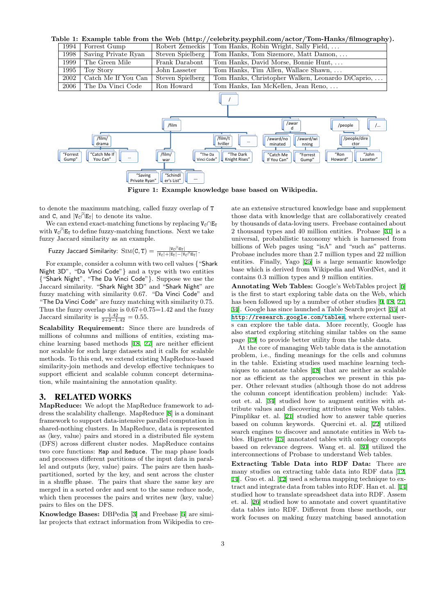**Table 1: Example table from the Web (http://celebrity.psyphil.com/actor/Tom-Hanks/filmography).**

<span id="page-2-1"></span>

| able 1; Example table from the web (http://celebrity.psyphil.com/actor/Tom-Haliks/Illinography. |                     |                                                        |                                                   |  |  |  |  |
|-------------------------------------------------------------------------------------------------|---------------------|--------------------------------------------------------|---------------------------------------------------|--|--|--|--|
| 1994                                                                                            | Forrest Gump        | Robert Zemeckis                                        | Tom Hanks, Robin Wright, Sally Field,             |  |  |  |  |
| 1998                                                                                            | Saving Private Ryan | Steven Spielberg                                       | Tom Hanks, Tom Sizemore, Matt Damon,              |  |  |  |  |
| 1999                                                                                            | The Green Mile      | Frank Darabont<br>Tom Hanks, David Morse, Bonnie Hunt, |                                                   |  |  |  |  |
| 1995                                                                                            | Toy Story           | John Lasseter                                          | Tom Hanks, Tim Allen, Wallace Shawn,              |  |  |  |  |
| 2002                                                                                            | Catch Me If You Can | Steven Spielberg                                       | Tom Hanks, Christopher Walken, Leonardo DiCaprio, |  |  |  |  |
| 2006                                                                                            | The Da Vinci Code   | Ron Howard                                             | Tom Hanks, Ian McKellen, Jean Reno,               |  |  |  |  |
|                                                                                                 |                     |                                                        |                                                   |  |  |  |  |



<span id="page-2-0"></span>**Figure 1: Example knowledge base based on Wikipedia.**

to denote the maximum matching, called fuzzy overlap of T and **C**, and  $|V_C \cap E_T|$  to denote its value.

We can extend exact-matching functions by replacing  $V_c ∩ E_T$ with V<sub>c</sub>∩E<sub>T</sub> to define fuzzy-matching functions. Next we take fuzzy Jaccard similarity as an example.

 $\frac{|v_{C} \cap E_{T}|}{|v_{C}| + |E_{T}| - |v_{C} \cap E_{T}|}$ .

For example, consider a column with two cell values *{*"Shark Night 3D", "Da Vinci Code"*}* and a type with two entities *{*"Shark Night", "The Da Vinci Code"*}*. Suppose we use the Jaccard similarity. "Shark Night 3D" and "Shark Night" are fuzzy matching with similarity 0.67. "Da Vinci Code" and "The Da Vinci Code" are fuzzy matching with similarity 0.75. Thus the fuzzy overlap size is 0.67+0.75=1.42 and the fuzzy Jaccard similarity is  $\frac{1.42}{2+2-1.42} = 0.55$ .

**Scalability Requirement:** Since there are hundreds of millions of columns and millions of entities, existing machine learning based methods [18, 27] are neither efficient nor scalable for such large datasets and it calls for scalable methods. To this end, we extend existing MapReduce-based similarity-join methods and develop effective techniques to support efficient and scalable column concept determination, while maintaining the ann[ota](#page-11-1)t[ion](#page-11-4) quality.

## 3. RELATED WORKS

**MapReduce:** We adopt the MapReduce framework to address the scalability challenge. MapReduce [8] is a dominant framework to support data-intensive parallel computation in shared-nothing clusters. In MapReduce, data is represented as *⟨*key, value*⟩* pairs and stored in a distributed file system (DFS) across different cluster nodes. MapReduce contains two core functions: Map and Reduce. The [ma](#page-11-9)p phase loads and processes different partitions of the input data in parallel and outputs *⟨*key, value*⟩* pairs. The pairs are then hashpartitioned, sorted by the key, and sent across the cluster in a shuffle phase. The pairs that share the same key are merged in a sorted order and sent to the same reduce node, which then processes the pairs and writes new *⟨*key, value*⟩* pairs to files on the DFS.

**Knowledge Bases:** DBPedia [3] and Freebase [5] are similar projects that extract information from Wikipedia to create an extensive structured knowledge base and supplement those data with knowledge that are collaboratively created by thousands of data-loving users. Freebase contained about 2 thousand types and 40 million entities. Probase [31] is a universal, probabilistic taxonomy which is harnessed from billions of Web pages using "isA" and "such as" patterns. Probase includes more than 2*.*7 million types and 22 million entities. Finally, Yago [25] is a large semantic knowledge base which is derived from Wikipedia and WordNe[t, a](#page-11-3)nd it contains 0*.*3 million types and 9 million entities.

**Annotating Web Tables:** Google's WebTables project [6] is the first to start exploring table data on the Web, which has been followed up by [a nu](#page-11-10)mber of other studies [9, 18, 27, 34]. Google has since launched a Table Search project [35] at http://research.google.com/tables, where external users can explore the table data. More recently, Google h[as](#page-11-0) also started exploring stitching similar tables on the same page [19] to provide better utility from the table [da](#page-11-11)t[a.](#page-11-1)

[A](#page-11-5)t the core of managing Web table data is the anno[tat](#page-11-7)ion [problem, i.e., finding meanings for th](http://research.google.com/tables)e cells and columns in the table. Existing studies used machine learning techniques to annotate tables [18] that are neither as scalable nor a[s e](#page-11-12)fficient as the approaches we present in this paper. Other relevant studies (although those do not address the column concept identification problem) include: Yakout et. al. [34] studied how to augment entities with attribute values and discover[ing](#page-11-1) attributes using Web tables. Pimplikar et. al. [21] studied how to answer table queries based on column keywords. Quercini et. al. [22] utilized search engines to discover and annotate entities in Web tables. Hignet[te](#page-11-5) [15] annotated tables with ontology concepts based on relevance degrees. Wang et. al. [30] utilized the interconnections o[f P](#page-11-13)robase to understand Web tables.

**Extracting Table Data into RDF Data:** [T](#page-11-14)here are many studies on extracting table data into RDF data [12, 14]. Guo et. al. [\[12](#page-11-15)] used a schema mapping technique to extract and integrate data from tables into RD[F. H](#page-11-16)an et. al. [14] studied how to translate spreadsheet data into RDF. Assem et. al. [26] studied how to annotate and covert quantitative data tables into RDF. Different from these methods, [our](#page-11-17) [wo](#page-11-18)rk focuses o[n m](#page-11-17)aking fuzzy matching based annotation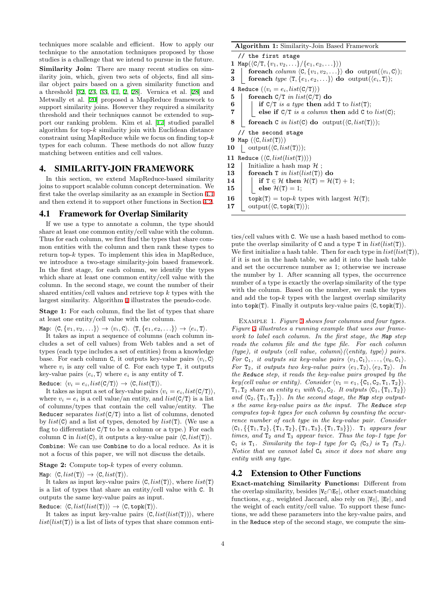techniques more scalable and efficient. How to apply our technique to the annotation techniques proposed by those studies is a challenge that we intend to pursue in the future.

**Similarity Join:** There are many recent studies on similarity join, which, given two sets of objects, find all similar object pairs based on a given similarity function and a threshold [32, 23, 33, 11, 2, 28]. Vernica et al. [28] and Metwally et al. [20] proposed a MapReduce framework to support similarity joins. However they required a similarity threshold and their techniques cannot be extended to support our ranking problem. Kim et al. [17] studied parallel algorithm fo[r to](#page-11-19)[p-](#page-11-20)*k* [sim](#page-11-21)i[lari](#page-11-22)t[y](#page-11-23) j[oin](#page-11-24) with Euclidean [dist](#page-11-24)ance constraint using [Ma](#page-11-25)pReduce while we focus on finding top-*k* types for each column. These methods do not allow fuzzy matching between entities and cell values.

# 4. SIMILARITY-JOIN FRAMEWORK

In this section, we extend MapReduce-based similarity joins to support scalable column concept determination. We first take the overlap similarity as an example in Section 4.1 and then extend it to support other functions in Section 4.2.

## 4.1 Framework for Overlap Similarity

<span id="page-3-0"></span>If we use a type to annotate a column, the type should share at least one common entity/cell value with the colu[mn.](#page-3-0) Thus for each column, we first find the types that share c[om](#page-3-1)mon entities with the column and then rank these types to return top-*k* types. To implement this idea in MapReduce, we introduce a two-stage similarity-join based framework. In the first stage, for each column, we identify the types which share at least one common entity/cell value with the column. In the second stage, we count the number of their shared entities/cell values and retrieve top *k* types with the largest similarity. Algorithm 1 illustrates the pseudo-code.

**Stage 1:** For each column, find the list of types that share at least one entity/cell value with the column.

 $\text{Map: } \langle C, \{v_1, v_2, \ldots\} \rangle \rightarrow \langle v_i, C \rangle. \langle T, \{e_1, e_2, \ldots\} \rangle \rightarrow \langle e_i, T \rangle.$ 

It takes as input a sequenc[e](#page-3-2) of columns (each column includes a set of cell values) from Web tables and a set of types (each type includes a set of entities) from a knowledge base. For each column C, it outputs key-value pairs  $\langle v_i, \mathbf{C} \rangle$ where  $v_i$  is any cell value of C. For each type T, it outputs key-value pairs  $\langle e_i, \mathsf{T} \rangle$  where  $e_i$  is any entity of T.

Reduce:  $\langle v_i = e_i, list(C/T) \rangle \rightarrow \langle C, list(T) \rangle$ .

It takes as input a set of key-value pairs  $\langle v_i = e_i, list(C/T) \rangle$ , where  $v_i = e_i$  is a cell value/an entity, and  $list(C/T)$  is a list of columns/types that contain the cell value/entity. The Reducer separates *list*(C*/*T) into a list of columns, denoted by *list*(C) and a list of types, denoted by *list*(T). (We use a flag to differentiate  $C/T$  to be a column or a type.) For each column C in  $list(C)$ , it outputs a key-value pair  $\langle C, list(T) \rangle$ . Combine: We can use Combine to do a local reduce. As it is not a focus of this paper, we will not discuss the details.

**Stage 2:** Compute top-*k* types of every column.

Map:  $\langle C, list(T) \rangle \rightarrow \langle C, list(T) \rangle$ .

It takes as input key-value pairs  $\langle C, list(T) \rangle$ , where  $list(T)$ is a list of types that share an entity/cell value with C. It outputs the same key-value pairs as input.

 $Reduce: \langle C, list(list(T)) \rangle \rightarrow \langle C, topk(T) \rangle.$ 

It takes as input key-value pairs  $\langle C, list(list(T)) \rangle$ , where  $list(list(T))$  is a list of lists of types that share common enti-

#### **Algorithm 1:** Similarity-Join Based Framework

// the first stage Map(*⟨*C*/*T*, {v*1*, v*2*, . . .}/{e*1*, e*2*, . . .}⟩*) **foreach** *column*  $\langle C, \{v_1, v_2, \ldots\} \rangle$  **do**  $\text{output}(\langle v_i, C \rangle);$  **foreach** *type*  $\langle T, \{e_1, e_2, \ldots\} \rangle$  **do** output $(\langle e_i, T \rangle)$ ; Reduce  $(\langle v_i = e_i, list(C/T) \rangle)$  **foreach** C*/*T *in list*(C*/*T) **do if**  $C/T$  *is a type* **then** add T to *list*(T);<br>**c e if**  $C/T$  *is a column* **then** add C to **else if** C*/*T *is a column* **then** add C to *list*(C); **foreach** C *in list*(C) **do** output( $\langle C, list(T) \rangle$ ); // the second stage Map (*⟨*C*, list*(T)*⟩*)  $\vert$  output( $\langle C, list(T) \rangle$ ); Reduce (*⟨*C*, list*(*list*(T))*⟩*) Initialize a hash map  $\mathcal{H}$ ; **13 foreach** T *in list*(*list*(T)) **do if**  $T \in \mathcal{H}$  **then**  $\mathcal{H}(T) = \mathcal{H}(T) + 1$ ; **else**  $H(T) = 1$ ;  $\phi$  topk(T) = top-*k* types with largest  $\mathcal{H}(T)$ ;

**17** output( $\langle C, \text{topk}(T) \rangle$ );

<span id="page-3-2"></span>ties/cell values with C. We use a hash based method to compute the overlap similarity of C and a type T in *list*(*list*(T)). We first initialize a hash table. Then for each type in *list*(*list*(T)), if it is not in the hash table, we add it into the hash table and set the occurrence number as 1; otherwise we increase the number by 1. After scanning all types, the occurrence number of a type is exactly the overlap similarity of the type with the column. Based on the number, we rank the types and add the top-*k* types with the largest overlap similarity into topk(T). Finally it outputs key-value pairs *⟨*C*,* topk(T)*⟩*.

Example 1. *Figure 2 shows four columns and four types. Figure 3 illustrates a running example that uses our framework to label each column. In the first stage, the Map step reads the column file and the type file. For each column (type), it outputs ⟨cell value, column⟩(⟨entity, type⟩) pairs. For*  $C_1$ *, it outputs six [ke](#page-4-0)y-value pairs*  $\langle v_1, C_1 \rangle, \ldots, \langle v_6, C_1 \rangle$ *. For*  $T_2$ *[,](#page-4-1) it outputs two key-value pairs*  $\langle e_1, T_2 \rangle$ ,  $\langle e_2, T_2 \rangle$ *. In the Reduce step, it reads the key-value pairs grouped by the key(cell value or entity). Consider*  $\langle v_1 = e_1, \{C_1, C_2, T_1, T_2\} \rangle$ .  $\langle T_1, T_2 \rangle$  *share an entity*  $e_1$  *with*  $C_1, C_2$ *. It outputs*  $\langle C_1, \{T_1, T_2\} \rangle$ and  $\langle C_2, \{T_1, T_2\} \rangle$ . In the second stage, the Map step output*s the same key-value pairs as the input. The Reduce step computes top-k types for each column by counting the occurrence number of each type in the key-value pair. Consider ⟨*C1*, {{*T1*,* T2*}, {*T1*,* T2*}, {*T1*,* T3*}, {*T1*,* T3*}}⟩.* T<sup>1</sup> *appears four times, and*  $T_2$  *and*  $T_3$  *appear twice. Thus the top-1 type for*  $C_1$  *is*  $T_1$ *. Similarity the top-1 type for*  $C_2$   $(C_3)$  *is*  $T_2$   $(T_3)$ *. Notice that we cannot label*  $C_4$  *since it does not share any entity with any type.*

## 4.2 Extension to Other Functions

<span id="page-3-1"></span>**Exact-matching Similarity Functions:** Different from the overlap similarity, besides  $|V_c \cap E_T|$ , other exact-matching functions, e.g., weighted Jaccard, also rely on  $|V_c|$ ,  $|E_T|$ , and the weight of each entity/cell value. To support these functions, we add these parameters into the key-value pairs, and in the Reduce step of the second stage, we compute the sim-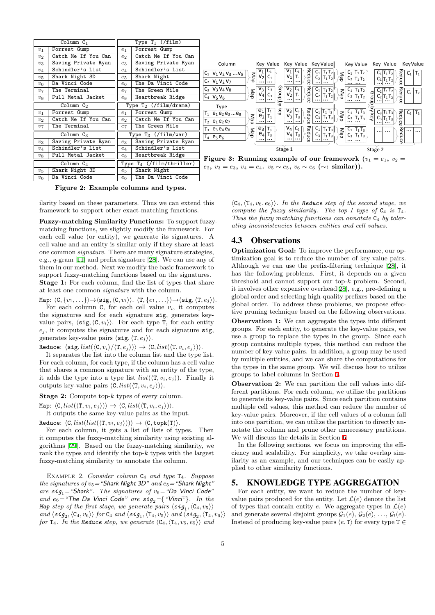

<span id="page-4-0"></span>**Figure 2: Example columns and types.**

ilarity based on these parameters. Thus we can extend this framework to support other exact-matching functions.

**Fuzzy-matching Similarity Functions:** To support fuzzymatching functions, we slightly modify the framework. For each cell value (or entity), we generate its signatures. A cell value and an entity is similar only if they share at least one common *signature*. There are many signature strategies, e.g., *q*-gram [11] and prefix signature [28]. We can use any of them in our method. Next we modify the basic framework to support fuzzy-matching functions based on the signatures. **Stage 1:** For each column, find the list of types that share at least one common *signature* with the column.

Map:  $\langle C, \{v_1, ...\} \rangle \rightarrow \langle \text{sig}, \langle C, v_i \rangle \rangle$  $\langle C, \{v_1, ...\} \rangle \rightarrow \langle \text{sig}, \langle C, v_i \rangle \rangle$  $\langle C, \{v_1, ...\} \rangle \rightarrow \langle \text{sig}, \langle C, v_i \rangle \rangle$ .  $\langle T, \{e_1, ...\} \rangle \rightarrow \langle \text{sig}, \langle T, e_i \rangle \rangle$ . For each column  $C$ , for each cell value  $v_i$ , it computes the signatures and for each signature sig, generates keyvalue pairs,  $\langle \text{sig}, \langle \text{C}, v_i \rangle \rangle$ . For each type T, for each entity  $e_j$ , it computes the signatures and for each signature sig, generates key-value pairs *⟨*sig*,⟨*T*, e<sup>j</sup> ⟩⟩*.

 $\text{Reduce: } \langle \text{sig}, \text{list}(\langle \text{C}, v_i \rangle / \langle \text{T}, e_i \rangle) \rangle \rightarrow \langle \text{C}, \text{list}(\langle \text{T}, v_i, e_i \rangle) \rangle.$ 

It separates the list into the column list and the type list. For each column, for each type, if the column has a cell value that shares a common signature with an entity of the type, it adds the type into a type list  $list(\langle T, v_i, e_j \rangle)$ . Finally it outputs key-value pairs  $\langle C, list(\langle T, v_i, e_j \rangle) \rangle$ .

**Stage 2:** Compute top-*k* types of every column.

Map:  $\langle C, list(\langle T, v_i, e_j \rangle) \rangle \rightarrow \langle C, list(\langle T, v_i, e_j \rangle) \rangle$ .

It outputs the same key-value pairs as the input.

 $\text{Reduce: } \langle C, list(list(\langle T, v_i, e_j \rangle)) \rangle \rightarrow \langle C, \text{topk}(T) \rangle.$ 

For each column, it gets a list of lists of types. Then it computes the fuzzy-matching similarity using existing algorithms [29]. Based on the fuzzy-matching similarity, we rank the types and identify the top-*k* types with the largest fuzzy-matching similarity to annotate the column.

Example 2. *Consider column* C<sup>4</sup> *and type* T4*. Suppose the signat[ures](#page-11-26) of*  $v_5$  = "*Shark Night 3D*" and  $e_5$  = "*Shark Night*" are  $sig_1$  = "Shark". The signatures of  $v_6$  = "Da Vinci Code" and  $e_6$  = "The Da Vinci Code" are  $sig_2$  = { "Vinci"}. In the *Map step of the first stage, we generate pairs*  $\langle$ *sig<sub>1</sub>,*  $\langle$ *C<sub>4</sub>,*  $v_5 \rangle$  $\rangle$  $and \langle \textit{sig}_2, \langle \texttt{C}_4, v_6 \rangle \rangle$  for  $\texttt{C}_4$  and  $\langle \textit{sig}_1, \langle \texttt{T}_4, v_5 \rangle \rangle$  and  $\langle \textit{sig}_2, \langle \texttt{T}_4, v_6 \rangle \rangle$ *for*  $T_4$ *. In the Reduce step, we generate*  $\langle C_4, \langle T_4, v_5, e_5 \rangle \rangle$  *and* 

<span id="page-4-1"></span>*⟨*C4*,⟨*T4*, v*6*, e*6*⟩⟩. In the Reduce step of the second stage, we compute the fuzzy similarity. The top-1 type of*  $C_4$  *is*  $T_4$ *.* Thus the fuzzy matching functions can annotate  $C_4$  by toler*ating inconsistencies between entities and cell values.*

## 4.3 Observations

**Optimization Goal:** To improve the performance, our optimization goal is to reduce the number of key-value pairs. Although we can use the prefix-filtering technique [28], it has the following problems. First, it depends on a given threshold and cannot support our top-*k* problem. Second, it involves other expensive overhead[28], e.g., pre-defining a global order and selecting high-quality prefixes based on the global order. To address these problems, we propos[e eff](#page-11-24)ective pruning technique based on the following observations.

**Observation 1:** We can aggregate the types into different groups. For each entity, to generate [the](#page-11-24) key-value pairs, we use a group to replace the types in the group. Since each group contains multiple types, this method can reduce the number of key-value pairs. In addition, a group may be used by multiple entities, and we can share the computations for the types in the same group. We will discuss how to utilize groups to label columns in Section 5.

**Observation 2:** We can partition the cell values into different partitions. For each column, we utilize the partitions to generate its key-value pairs. Since each partition contains multiple cell values, this method can reduce the number of key-value pairs. Moreover, if the ce[ll](#page-4-2) values of a column fall into one partition, we can utilize the partition to directly annotate the column and prune other unnecessary partitions. We will discuss the details in Section 6.

In the following sections, we focus on improving the efficiency and scalability. For simplicity, we take overlap similarity as an example, and our techniques can be easily applied to other similarity functions.

## 5. KNOWLEDGE TYPE AGGREGATION

<span id="page-4-2"></span>For each entity, we want to reduce the number of keyvalue pairs produced for the entity. Let  $\mathcal{L}(e)$  denote the list of types that contain entity *e*. We aggregate types in  $\mathcal{L}(e)$ and generate several disjoint groups  $\mathcal{G}_1(e), \mathcal{G}_2(e), \ldots, \mathcal{G}_l(e)$ . Instead of producing key-value pairs  $\langle e, \mathsf{T} \rangle$  for every type  $\mathsf{T} \in \mathsf{T}$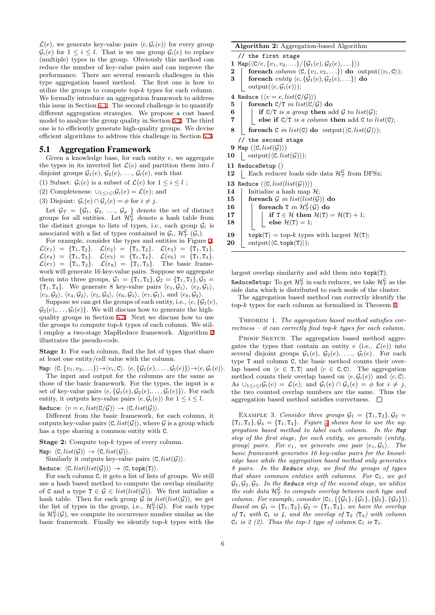$\mathcal{L}(e)$ , we generate key-value pairs  $\langle e, \mathcal{G}_i(e) \rangle$  for every group  $\mathcal{G}_i(e)$  for  $1 \leq i \leq l$ . That is we use group  $\mathcal{G}_i(e)$  to replace (multiple) types in the group. Obviously this method can reduce the number of key-value pairs and can improve the performance. There are several research challenges in this type aggregation based method. The first one is how to utilize the groups to compute top-*k* types for each column. We formally introduce an aggregation framework to address this issue in Section 5.1. The second challenge is to quantify different aggregation strategies. We propose a cost based model to analyze the group quality in Section 5.2. The third one is to efficiently generate high-quality groups. We devise efficient algorithms to address this challenge in Section 5.3.

## 5.1 Aggregation Framework

Given a knowledge base, for each entity *e*[, we](#page-6-0) aggregate the types in its inverted list  $\mathcal{L}(e)$  and partition them into *l* disjoint groups  $G_1(e), G_2(e), \ldots, G_l(e),$  such that

- (1) Subset:  $\mathcal{G}_i(e)$  is a subset of  $\mathcal{L}(e)$  for  $1 \leq i \leq l$ ;
- (2) Completeness:  $\bigcup_{1 \leq i \leq l} \mathcal{G}_i(e) = \mathcal{L}(e)$ ; and

(3) Disjoint:  $\mathcal{G}_i(e) \cap \mathcal{G}_j(e) = \phi$  for  $i \neq j$ .

Let  $\mathcal{G}_{\mathcal{T}} = \{\mathcal{G}_1, \mathcal{G}_2, \ldots, \mathcal{G}_g\}$  denote the set of distinct groups for all entities. Let  $\mathcal{H}_{\mathcal{T}}^{\mathcal{G}}$  denote a hash table from the distinct groups to lists of types, i.e., each group  $\mathcal{G}_i$  is associated with a list of types contained in  $\mathcal{G}_i$ ,  $\mathcal{H}^{\mathcal{G}}_{\mathcal{T}}(\mathcal{G}_i)$ .

For example, consider the types and entities in Figure 2.  $\mathcal{L}(e_1) = \{ \texttt{T}_1, \texttt{T}_2 \}.$   $\mathcal{L}(e_2) = \{ \texttt{T}_1, \texttt{T}_2 \}.$   $\mathcal{L}(e_3) = \{ \texttt{T}_1, \texttt{T}_3 \}.$  $\mathcal{L}(e_4) = \{\texttt{T}_1, \texttt{T}_3\}.$   $\mathcal{L}(e_5) = \{\texttt{T}_1, \texttt{T}_4\}.$   $\mathcal{L}(e_6) = \{\texttt{T}_1, \texttt{T}_4\}.$  $\mathcal{L}(e_7) = \{T_1, T_2\}$ .  $\mathcal{L}(e_8) = \{T_1, T_3\}$ . The basic framework will generate 16 key-value pairs. Suppose we aggregate them into three groups,  $G_1 = \{T_1, T_2\}, G_2 = \{T_1, T_3\}, G_3 =$  $G_1 = \{T_1, T_2\}, G_2 = \{T_1, T_3\}, G_3 =$  $G_1 = \{T_1, T_2\}, G_2 = \{T_1, T_3\}, G_3 =$  ${T_1, T_4}$ . We generate 8 key-value pairs  $\langle e_1, \mathcal{G}_1 \rangle$ ,  $\langle e_2, \mathcal{G}_1 \rangle$ ,  $\langle e_3, \mathcal{G}_2 \rangle$ ,  $\langle e_4, \mathcal{G}_2 \rangle$ ,  $\langle e_5, \mathcal{G}_3 \rangle$ ,  $\langle e_6, \mathcal{G}_3 \rangle$ ,  $\langle e_7, \mathcal{G}_1 \rangle$ , and  $\langle e_8, \mathcal{G}_2 \rangle$ .

Suppose we can get the groups of each entity, i.e.,  $\langle e, \{G_1(e),\} \rangle$  $G_2(e), \ldots, G_l(e)$ . We will discuss how to generate the highquality groups in Section 5.3. Next we discuss how to use the groups to compute top-*k* types of each column. We still employ a two-stage MapReduce framework. Algorithm 2 illustrates the pseudo-code.

**Stage 1:** For each colum[n, fi](#page-6-1)nd the list of types that share at least one entity/cell value with the column.

Map:  $\langle C, \{v_1, v_2, \ldots\} \rangle \rightarrow \langle v_i, C \rangle$ .  $\langle e, \{G_1(e), \ldots, G_l(e)\} \rangle \rightarrow \langle e, G_i(e) \rangle$  $\langle e, \{G_1(e), \ldots, G_l(e)\} \rangle \rightarrow \langle e, G_i(e) \rangle$  $\langle e, \{G_1(e), \ldots, G_l(e)\} \rangle \rightarrow \langle e, G_i(e) \rangle$ . The input and output for the columns are the same as those of the basic framework. For the types, the input is a set of key-value pairs  $\langle e, \{G_1(e), G_2(e), \ldots, G_l(e)\} \rangle$ . For each entity, it outputs key-value pairs  $\langle e, \mathcal{G}_i(e) \rangle$  for  $1 \leq i \leq l$ .

Reduce:  $\langle v = e, list(C/G) \rangle \rightarrow \langle C, list(G) \rangle$ .

Different from the basic framework, for each column, it outputs key-value pairs  $\langle C, list(\mathcal{G}) \rangle$ , where  $\mathcal G$  is a group which has a type sharing a common entity with C.

**Stage 2:** Compute top-*k* types of every column.

 $Map: \langle C, list(G) \rangle \rightarrow \langle C, list(G) \rangle$ .

Similarly it outputs key-value pairs  $\langle C, list(\mathcal{G}) \rangle$ .

 $Reduce: \langle C, list(list(\mathcal{G})) \rangle \rightarrow \langle C, topk(T) \rangle.$ 

For each column C, it gets a list of lists of groups. We still use a hash based method to compute the overlap similarity of C and a type  $T \in \mathcal{G} \in list(list(\mathcal{G}))$ . We first initialize a hash table. Then for each group  $G$  in  $list(list(G))$ , we get the list of types in the group, i.e.,  $\mathcal{H}_{\mathcal{T}}^{\mathcal{G}}(\mathcal{G})$ . For each type in  $\mathcal{H}_{\mathcal{T}}^{\mathcal{G}}(\mathcal{G})$ , we compute its occurrence number similar as the *T* basic framework. Finally we identify top-*k* types with the

#### **Algorithm 2:** Aggregation-based Algorithm

## // the first stage

- **1** Map( $\langle C/e, \{v_1, v_2, \ldots\} / \{G_1(e), G_2(e), \ldots\} \rangle$ )
- **2 foreach** *column*  $\langle C, \{v_1, v_2, \ldots\} \rangle$  **do**  $\text{output}(\langle v_i, C \rangle);$
- **3 containable** *foreach entity* $\langle e, \{ \mathcal{G}_1(e), \mathcal{G}_2(e), \ldots \} \rangle$  **<b>do**  $output(\langle e, \mathcal{G}_i(e) \rangle);$

**4** Reduce  $(\langle v = e, list(C/G) \rangle)$ 

**5 | foreach**  $C/T$  *in*  $list(C/G)$  **do** 

- **6 if**  $C/T$  *is a group* **then** add *G* to *list*(*G*);<br>**c e if**  $C/T$  *is a column* **then** add *C* to *l* **7 else if** C*/*T *is a column* **then** add C to *list*(C);
- **8 foreach** C *in list*(C) **do** output( $\langle C, list(\mathcal{G}) \rangle$ );

// the second stage

- **9** Map (*⟨*C*, list*(*G*)*⟩*)
- **10**  $\vert$  output( $\langle C, list(\mathcal{G}) \rangle$ );
- **11** ReduceSetup ()
- **12** Each reducer loads side data  $\mathcal{H}_{\mathcal{T}}^{\mathcal{G}}$  from DFSx;
- **13** Reduce  $(\langle C, list(list(\mathcal{G})) \rangle)$
- **14** | Initialize a hash map  $\mathcal{H}$ ;
- **15 foreach**  $\mathcal G$  *in list*(*list*( $\mathcal G$ )) **do**
- $16$  **foreach** T *in*  $\mathcal{H}_{\mathcal{T}}^{\mathcal{G}}(\mathcal{G})$  do
- **17 i i if**  $T \in \mathcal{H}$  **then**  $\mathcal{H}(T) = \mathcal{H}(T) + 1;$

**18 else**  $\mathcal{H}(T) = 1;$ 

- **19**  $\phi$  topk(T) = top-*k* types with largest  $\mathcal{H}(T)$ ;
	-

**20** | output( $\langle$ **C***,* **topk(T**) $\rangle$ );

largest overlap similarity and add them into topk(T). ReduceSetup: To get  $\mathcal{H}_{\mathcal{T}}^{\mathcal{G}}$  in each reducer, we take  $\mathcal{H}_{\mathcal{T}}^{\mathcal{G}}$  as the *T T* side data which is distributed to each node of the cluster.

<span id="page-5-0"></span>The aggregation based method can correctly identify the top-*k* types for each column as formalized in Theorem 1.

THEOREM 1. The aggregation based method satisfies cor*rectness – it can correctly find top-k types for each column.*

<span id="page-5-1"></span>PROOF SKETCH. The a[gg](#page-5-1)regation based method aggregates the types that contain an entity  $e$  (i.e.,  $\mathcal{L}(e)$ ) into several disjoint groups  $G_1(e)$ ,  $G_2(e)$ , ...,  $G_l(e)$ . For each type T and column C, the basic method counts their overlap based on  $\langle e \in T, T \rangle$  and  $\langle c \in C, C \rangle$ . The aggregation method counts their overlap based on  $\langle e, \mathcal{G}_i(e) \rangle$  and  $\langle c, \mathcal{C} \rangle$ . As  $\bigcup_{1 \leq i \leq l} \mathcal{G}_i(e) = \mathcal{L}(e)$ , and  $\mathcal{G}_i(e) \cap \mathcal{G}_j(e) = \phi$  for  $i \neq j$ , the two counted overlap numbers are the same. Thus the aggregation based method satisfies correctness.  $\quad \Box$ 

EXAMPLE 3. *Consider three groups*  $G_1 = \{T_1, T_2\}, G_2 =$  ${T_1, T_3}, G_3 = {T_1, T_4}$ *. Figure 4 shows how to use the aggregation based method to label each column. In the Map step of the first stage, for each entity, we generate ⟨entity, group* $\rangle$  *pairs. For*  $e_1$ *, we generate one pair*  $\langle e_1, \mathcal{G}_1 \rangle$ *. The basic framework generates 16 key-value pairs for the knowledge base while the aggregation [ba](#page-6-2)sed method only generates 8 pairs. In the Reduce step, we find the groups of types that share common entities with columns. For*  $C_1$ *, we get*  $G_1, G_2, G_3$ . In the **Reduce** *step of the second stage, we utilize the side data*  $\mathcal{H}_{\tau}^{\mathcal{G}}$  to compute overlap between each type and *T column. For example, consider ⟨*C1*, {{G*1*}, {G*1*}, {G*2*}, {G*2*}}⟩. Based on*  $G_1 = \{T_1, T_2\}, G_2 = \{T_1, T_3\}$ *, we have the overlap of*  $T_1$  *with*  $C_1$  *is 4, and the overlap of*  $T_2$   $(T_3)$  *with column*  $C_1$  *is 2 (2). Thus the top-1 type of column*  $C_1$  *is*  $T_1$ *.*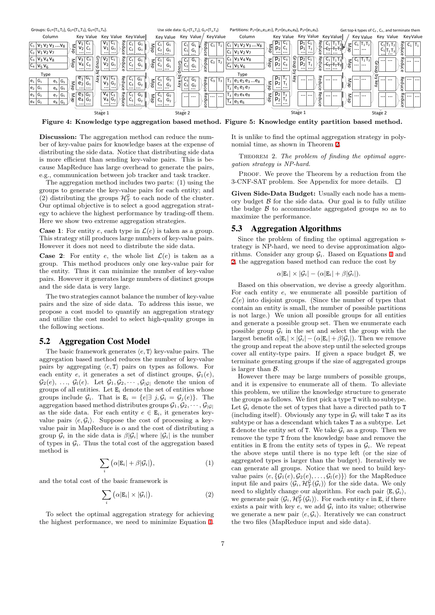

**Figure 4: Knowledge type aggregation based method. Figure 5: Knowledge entity partition based method.**

<span id="page-6-2"></span>**Discussion:** The aggregation method can reduce the number of key-value pairs for knowledge bases at the expense of distributing the side data. Notice that distributing side data is more efficient than sending key-value pairs. This is because MapReduce has large overhead to generate the pairs, e.g., communication between job tracker and task tracker.

The aggregation method includes two parts: (1) using the groups to generate the key-value pairs for each entity; and (2) distributing the groups  $\mathcal{H}_{\tau}^{\mathcal{G}}$  to each node of the cluster. *T* Our optimal objective is to select a good aggregation strategy to achieve the highest performance by trading-off them. Here we show two extreme aggregation strategies.

**Case 1**: For entity *e*, each type in  $\mathcal{L}(e)$  is taken as a group. This strategy still produces large numbers of key-value pairs. However it does not need to distribute the side data.

**Case 2**: For entity *e*, the whole list  $\mathcal{L}(e)$  is taken as a group. This method produces only one key-value pair for the entity. Thus it can minimize the number of key-value pairs. However it generates large numbers of distinct groups and the side data is very large.

The two strategies cannot balance the number of key-value pairs and the size of side data. To address this issue, we propose a cost model to quantify an aggregation strategy and utilize the cost model to select high-quality groups in the following sections.

## 5.2 Aggregation Cost Model

<span id="page-6-0"></span>The basic framework generates *⟨e,* T*⟩* key-value pairs. The aggregation based method reduces the number of key-value pairs by aggregating  $\langle e, \mathbf{T} \rangle$  pairs on types as follows. For each entity  $e$ , it generates a set of distinct groups,  $\mathcal{G}_1(e)$ ,  $G_2(e), \ldots, G_l(e)$ . Let  $G_1, G_2, \cdots, G_{|\mathcal{G}|}$  denote the union of groups of all entities. Let  $E_i$  denote the set of entities whose groups include  $\mathcal{G}_i$ . That is  $\mathbf{E}_i = \{e | \exists j, \mathcal{G}_i = \mathcal{G}_j(e)\}.$  The aggregation based method distributes groups  $\mathcal{G}_1, \mathcal{G}_2, \cdots, \mathcal{G}_{|\mathcal{G}|}$ as the side data. For each entity  $e \in \mathbf{E}_i$ , it generates keyvalue pairs  $\langle e, \mathcal{G}_i \rangle$ . Suppose the cost of processing a keyvalue pair in MapReduce is  $\alpha$  and the cost of distributing a group  $\mathcal{G}_i$  in the side data is  $\beta|\mathcal{G}_i|$  where  $|\mathcal{G}_i|$  is the number of types in  $\mathcal{G}_i$ . Thus the total cost of the aggregation based method is

$$
\sum_{i} (\alpha |\mathbf{E}_{i}| + \beta |\mathcal{G}_{i}|), \qquad (1)
$$

and the total cost of the basic framework is

<span id="page-6-5"></span><span id="page-6-4"></span>
$$
\sum_{i} (\alpha | \mathbf{E}_{i} | \times | \mathcal{G}_{i} |). \tag{2}
$$

To select the optimal aggregation strategy for achieving the highest performance, we need to minimize Equation 1.

It is unlike to find the optimal aggregation strategy in polynomial time, as shown in Theorem 2.

<span id="page-6-6"></span>THEOREM 2. The problem of finding the optimal aggre*gation strategy is NP-hard.*

PROOF. We prove the Theorem by a reduction from the 3-CNF-SAT problem. See Appendi[x](#page-6-3) for more details.  $\square$ 

<span id="page-6-3"></span>**Given Side-Data Budget:** Usually each node has a memory budget *B* for the side data. Our goal is to fully utilize the budge *B* to accommodate aggregated groups so as to maximize the performance.

#### 5.3 Aggregation Algorithms

Since the problem of finding the optimal aggregation strategy is NP-hard, we need to devise approximation algorithms. Consider any group  $\mathcal{G}_i$ . Based on Equations 1 and 2, the aggregation based method can reduce the cost by

$$
\alpha |\mathbf{E}_i| \times |\mathcal{G}_i| - (\alpha |\mathbf{E}_i| + \beta |\mathcal{G}_i|).
$$

<span id="page-6-1"></span>Based on this observation, we devise a greedy algorithm. For each entity *e*, we enumerate all possible partit[io](#page-6-4)n of  $\mathcal{L}(e)$  $\mathcal{L}(e)$  $\mathcal{L}(e)$  into disjoint groups. (Since the number of types that contain an entity is small, the number of possible partitions is not large.) We union all possible groups for all entities and generate a possible group set. Then we enumerate each possible group  $\mathcal{G}_i$  in the set and select the group with the largest benefit  $\alpha |E_i| \times |\mathcal{G}_i| - (\alpha |E_i| + \beta |\mathcal{G}_i|)$ . Then we remove the group and repeat the above step until the selected groups cover all entity-type pairs. If given a space budget *B*, we terminate generating groups if the size of aggregated groups is larger than *B*.

However there may be large numbers of possible groups, and it is expensive to enumerate all of them. To alleviate this problem, we utilize the knowledge structure to generate the groups as follows. We first pick a type T with no subtype. Let  $\mathcal{G}_i$  denote the set of types that have a directed path to  $\mathbf T$ (including itself). Obviously any type in  $\mathcal{G}_i$  will take T as its subtype or has a descendant which takes T as a subtype. Let E denote the entity set of T. We take  $\mathcal{G}_i$  as a group. Then we remove the type T from the knowledge base and remove the entities in  $E$  from the entity sets of types in  $\mathcal{G}_i$ . We repeat the above steps until there is no type left (or the size of aggregated types is larger than the budget). Iteratively we can generate all groups. Notice that we need to build keyvalue pairs  $\langle e, \{G_1(e), G_2(e), \ldots, G_l(e)\}\rangle$  for the MapReduce input file and pairs  $\langle G_i, H_{\tau}^{\mathcal{G}}(G_i) \rangle$  for the side data. We only *T* need to slightly change our algorithm. For each pair *⟨*E*, Gi⟩*, we generate pair  $\langle G_i, \mathcal{H}_{\mathcal{T}}^{\mathcal{G}}(G_i) \rangle$ . For each entity *e* in **E**, if there exists a pair with key *e*, we add  $G_i$  into its value; otherwise we generate a new pair  $\langle e, \mathcal{G}_i \rangle$ . Iteratively we can construct the two files (MapReduce input and side data).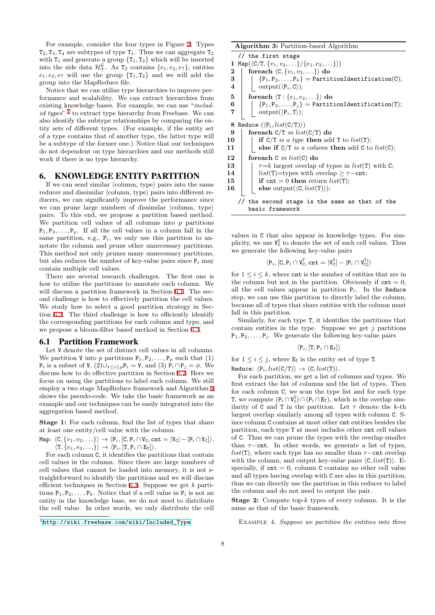For example, consider the four types in Figure 2. Types  $T_2, T_3, T_4$  are subtypes of type  $T_1$ . Thus we can aggregate  $T_2$ with  $T_1$  and generate a group  $\{T_1, T_2\}$  which will be inserted into the side data  $\mathcal{H}_{\mathcal{T}}^{\mathcal{G}}$ . As  $T_2$  contains  $\{e_1, e_2, e_7\}$ , entities  $e_1, e_2, e_7$  will use the group  $\{T_1, T_2\}$  and we will add the group into the MapReduce file.

Notice that we can utilize type hierarchies to improve performance and scalability. We can extract hierarchies from existing knowledge bases. For example, we can use "*included types*" *‡* to extract type hierarchy from Freebase. We can also identify the subtype relationships by comparing the entity sets of different types. (For example, if the entity set of a type contains that of another type, the latter type will be a subt[yp](#page-7-1)e of the former one.) Notice that our techniques do not dependent on type hierarchies and our methods still work if there is no type hierarchy.

## 6. KNOWLEDGE ENTITY PARTITION

<span id="page-7-0"></span>If we can send similar *⟨*column, type*⟩* pairs into the same reducer and dissimilar *⟨*column, type*⟩* pairs into different reducers, we can significantly improve the performance since we can prune large numbers of dissimilar *⟨*column, type*⟩* pairs. To this end, we propose a partition based method. We partition cell values of all columns into *p* partitions  $P_1, P_2, \ldots, P_p$ . If all the cell values in a column fall in the same partition, e.g.,  $P_i$ , we only use this partition to annotate the column and prune other unnecessary partitions. This method not only prunes many unnecessary partitions, but also reduces the number of key-value pairs since  $P_i$  may contain multiple cell values.

There are several research challenges. The first one is how to utilize the partitions to annotate each column. We will discuss a partition framework in Section 6.1. The second challenge is how to effectively partition the cell values. We study how to select a good partition strategy in Section 6.2. The third challenge is how to efficiently identify the corresponding partitions for each column and type, and we propose a bloom-filter based method in Se[ctio](#page-7-2)n 6.3.

#### 6.1 Partition Framework

<span id="page-7-2"></span>Let [V](#page-8-0) denote the set of distinct cell values in all columns. We partition V into p partitions  $P_1, P_2, \ldots, P_p$  such that (1) P*<sup>i</sup>* is a subset of V, (2)*∪*<sup>1</sup>*≤i≤<sup>p</sup>*P*<sup>i</sup>* = V, and (3) P*<sup>i</sup> ∩*P*<sup>j</sup>* = *[ϕ](#page-8-1)*. We discuss how to do effective partition in Section 6.2. Here we focus on using the partitions to label each column. We still employ a two stage MapReduce framework and Algorithm 3 shows the pseudo-code. We take the basic framework as an example and our techniques can be easily integrated into the aggregation based method.

**Stage 1:** For each column, find the list of types that sha[re](#page-7-3) at least one entity/cell value with the column.

$$
\begin{array}{l} \texttt{Map: } \langle C, \{v_1, v_2, \ldots\} \rangle \rightarrow \langle P_i, [C, P_i \cap V_c, \texttt{cnt} = |V_c| - |P_i \cap V_c| \rangle. \\ \langle T, \{e_1, e_2, \ldots\} \rangle \rightarrow \langle P_i, [T, P_i \cap E_T] \rangle. \end{array}
$$

For each column C, it identifies the partitions that contain cell values in the column. Since there are large numbers of cell values that cannot be loaded into memory, it is not straightforward to identify the partitions and we will discuss efficient techniques in Section 6.3. Suppose we get *k* partitions  $P_1, P_2, \ldots, P_k$ . Notice that if a cell value in  $P_i$  is not an entity in the knowledge base, we do not need to distribute the cell value. In other words, we only distribute the cell

**Algorithm 3:** Partition-based Algorithm // the first stage

| $\frac{1}{2}$ $\frac{1}{2}$ $\frac{1}{2}$ $\frac{1}{2}$ $\frac{1}{2}$ $\frac{1}{2}$ $\frac{1}{2}$ $\frac{1}{2}$ $\frac{1}{2}$ $\frac{1}{2}$ $\frac{1}{2}$ $\frac{1}{2}$ $\frac{1}{2}$ $\frac{1}{2}$ $\frac{1}{2}$ $\frac{1}{2}$ $\frac{1}{2}$ $\frac{1}{2}$ $\frac{1}{2}$ $\frac{1}{2}$ $\frac{1}{2}$ $\frac{1}{2}$ |                                                                           |  |  |  |  |  |  |  |
|---------------------------------------------------------------------------------------------------------------------------------------------------------------------------------------------------------------------------------------------------------------------------------------------------------------------|---------------------------------------------------------------------------|--|--|--|--|--|--|--|
| 1                                                                                                                                                                                                                                                                                                                   | Map( $\langle C/T, \{v_1, v_2, \ldots\} / \{e_1, e_2, \ldots\} \rangle$ ) |  |  |  |  |  |  |  |
| $\bf{2}$                                                                                                                                                                                                                                                                                                            | for each $\langle C, \{v_1, v_2, \ldots \} \rangle$ do                    |  |  |  |  |  |  |  |
| 3                                                                                                                                                                                                                                                                                                                   | ${P_1, P_2, \ldots, P_k}$ = PartitionIdentification(C);                   |  |  |  |  |  |  |  |
| 4                                                                                                                                                                                                                                                                                                                   | output( $\langle P_i, C \rangle$ );                                       |  |  |  |  |  |  |  |
| 5                                                                                                                                                                                                                                                                                                                   | foreach $\langle T : \{e_1, e_2, \ldots \} \rangle$ do                    |  |  |  |  |  |  |  |
| 6                                                                                                                                                                                                                                                                                                                   | $\{P_1, P_2, \ldots, P_j\}$ = PartitionIdentification(T);                 |  |  |  |  |  |  |  |
| $\overline{7}$                                                                                                                                                                                                                                                                                                      | output( $\langle P_i, T \rangle$ );                                       |  |  |  |  |  |  |  |
|                                                                                                                                                                                                                                                                                                                     |                                                                           |  |  |  |  |  |  |  |
| 8                                                                                                                                                                                                                                                                                                                   | Reduce $(\langle P_i, list(C/T) \rangle)$                                 |  |  |  |  |  |  |  |
| 9                                                                                                                                                                                                                                                                                                                   | foreach $C/T$ in list( $C/T$ ) do                                         |  |  |  |  |  |  |  |
| 10                                                                                                                                                                                                                                                                                                                  | if $C/T$ is a type then add T to list(T);                                 |  |  |  |  |  |  |  |
| 11                                                                                                                                                                                                                                                                                                                  | else if $C/T$ is a column then add C to list(C);                          |  |  |  |  |  |  |  |
| 12                                                                                                                                                                                                                                                                                                                  | foreach $C$ in list( $C$ ) do                                             |  |  |  |  |  |  |  |
| 13                                                                                                                                                                                                                                                                                                                  | $\tau = k$ largest overlap of types in <i>list</i> (T) with C;            |  |  |  |  |  |  |  |
| 14                                                                                                                                                                                                                                                                                                                  | $list(\texttt{T}) = \text{types with overlap } \geq \tau - \texttt{cnt};$ |  |  |  |  |  |  |  |
| 15                                                                                                                                                                                                                                                                                                                  | if cnt = 0 then return <i>list</i> (T);                                   |  |  |  |  |  |  |  |
| 16                                                                                                                                                                                                                                                                                                                  | <b>else</b> output( $\langle C, list(T) \rangle$ );                       |  |  |  |  |  |  |  |
|                                                                                                                                                                                                                                                                                                                     |                                                                           |  |  |  |  |  |  |  |
| // the second stage is the same as that of the                                                                                                                                                                                                                                                                      |                                                                           |  |  |  |  |  |  |  |
|                                                                                                                                                                                                                                                                                                                     | basic framework                                                           |  |  |  |  |  |  |  |
|                                                                                                                                                                                                                                                                                                                     |                                                                           |  |  |  |  |  |  |  |

<span id="page-7-3"></span>values in C that also appear in knowledge types. For simplicity, we use  $V_c^T$  to denote the set of such cell values. Thus we generate the following key-value pairs

$$
\langle P_i, [C,P_i\cap V^T_C,\texttt{cnt}=\vert V^T_C\vert-\vert P_i\cap V^T_C\vert\rangle
$$

for  $1 \leq i \leq k$ , where cnt is the number of entities that are in the column but not in the partition. Obviously if  $\text{cnt} = 0$ , all the cell values appear in partition P*i*. In the Reduce step, we can use this partition to directly label the column, because all of types that share entities with the column must fall in this partition.

Similarly, for each type T, it identifies the partitions that contain entities in the type. Suppose we get *j* partitions  $P_1, P_2, \ldots, P_j$ . We generate the following key-value pairs

$$
\langle P_i, [T, P_i \cap E_T] \rangle
$$

for  $1 \leq i \leq j$ , where  $E_T$  is the entity set of type T.

 $Reduce: \langle P_i, list(C/T) \rangle \rightarrow \langle C, list(T) \rangle$ .

For each partition, we get a list of columns and types. We first extract the list of columns and the list of types. Then for each column C, we scan the type list and for each type T, we compute  $(P_i \cap V_C^T) \cap (P_i \cap E_T)$ , which is the overlap similarity of **C** and **T** in the partition. Let  $\tau$  denote the *k*-th largest overlap similarly among all types with column C. Since column C contains at most other cnt entities besides the partition, each type T at most includes other cnt cell values of C. Thus we can prune the types with the overlap smaller than  $\tau$ −cnt. In other words, we generate a list of types, *list*(T), where each type has no smaller than  $\tau$ −cnt overlap with the column, and output key-value pairs *⟨*C*, list*(T)*⟩*. Especially, if  $\text{cnt} = 0$ , column C contains no other cell value and all types having overlap with C are also in this partition, thus we can directly use the partition in this reducer to label the column and do not need to output the pair.

**Stage 2:** Compute top-*k* types of every column. It is the same as that of the basic framework.

Example 4. *Suppose we partition the entities into three*

<span id="page-7-1"></span>*<sup>‡</sup>* http://wiki.freebase.com/[wik](#page-8-1)i/Included\_Type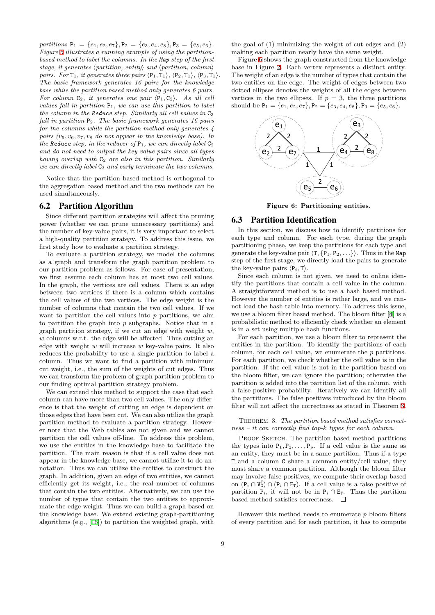*partitions*  $P_1 = \{e_1, e_2, e_7\}, P_2 = \{e_3, e_4, e_8\}, P_3 = \{e_5, e_6\}.$ *Figure 5 illustrates a running example of using the partitionbased method to label the columns. In the Map step of the first stage, it generates ⟨partition, entity⟩ and ⟨partition, column⟩ pairs. For*  $T_1$ *, it generates three pairs*  $\langle P_1, T_1 \rangle$ *,*  $\langle P_2, T_1 \rangle$ *,*  $\langle P_3, T_1 \rangle$ *. The basic framework generates 16 pairs for the knowledge base w[hil](#page-6-6)e the partition based method only generates 6 pairs. For column*  $C_2$ *, it generates one pair*  $\langle P_1, C_2 \rangle$ *. As all cell values fall in partition*  $P_1$ *, we can use this partition to label the column in the Reduce step. Similarly all cell values in* C<sup>3</sup> *fall in partition* P2*. The basic framework generates 16 pairs for the columns while the partition method only generates 4 pairs (v*5*, v*6*, v*7*, v*<sup>8</sup> *do not appear in the knowledge base). In the Reduce step, in the reducer of*  $P_1$ *, we can directly label*  $C_2$ *and do not need to output the key-value pairs since all types having overlap with*  $C_2$  *are also in this partition. Similarly* we can directly label  $C_3$  *and early terminate the two columns.* 

Notice that the partition based method is orthogonal to the aggregation based method and the two methods can be used simultaneously.

## 6.2 Partition Algorithm

Since different partition strategies will affect the pruning power (whether we can prune unnecessary partitions) and the number of key-value pairs, it is very important to select a high-quality partition strategy. To address this issue, we first study how to evaluate a partition strategy.

<span id="page-8-0"></span>To evaluate a partition strategy, we model the columns as a graph and transform the graph partition problem to our partition problem as follows. For ease of presentation, we first assume each column has at most two cell values. In the graph, the vertices are cell values. There is an edge between two vertices if there is a column which contains the cell values of the two vertices. The edge weight is the number of columns that contain the two cell values. If we want to partition the cell values into *p* partitions, we aim to partition the graph into *p* subgraphs. Notice that in a graph partition strategy, if we cut an edge with weight *w*, *w* columns w.r.t. the edge will be affected. Thus cutting an edge with weight *w* will increase *w* key-value pairs. It also reduces the probability to use a single partition to label a column. Thus we want to find a partition with minimum cut weight, i.e., the sum of the weights of cut edges. Thus we can transform the problem of graph partition problem to our finding optimal partition strategy problem.

We can extend this method to support the case that each column can have more than two cell values. The only difference is that the weight of cutting an edge is dependent on those edges that have been cut. We can also utilize the graph partition method to evaluate a partition strategy. However note that the Web tables are not given and we cannot partition the cell values off-line. To address this problem, we use the entities in the knowledge base to facilitate the partition. The main reason is that if a cell value does not appear in the knowledge base, we cannot utilize it to do annotation. Thus we can utilize the entities to construct the graph. In addition, given an edge of two entities, we cannot efficiently get its weight, i.e., the real number of columns that contain the two entities. Alternatively, we can use the number of types that contain the two entities to approximate the edge weight. Thus we can build a graph based on the knowledge base. We extend existing graph-partitioning algorithms (e.g., [16]) to partition the weighted graph, with the goal of (1) minimizing the weight of cut edges and (2) making each partition nearly have the same weight.

Figure 6 shows the graph constructed from the knowledge base in Figure 2. Each vertex represents a distinct entity. The weight of an edge is the number of types that contain the two entities on the edge. The weight of edges between two dotted ellipses denotes the weights of all the edges between vertices i[n](#page-8-2) the two ellipses. If  $p = 3$ , the three partitions should be  $P_1 = \{e_1, e_2, e_7\}, P_2 = \{e_3, e_4, e_8\}, P_3 = \{e_5, e_6\}.$  $P_1 = \{e_1, e_2, e_7\}, P_2 = \{e_3, e_4, e_8\}, P_3 = \{e_5, e_6\}.$  $P_1 = \{e_1, e_2, e_7\}, P_2 = \{e_3, e_4, e_8\}, P_3 = \{e_5, e_6\}.$ 



<span id="page-8-2"></span>**Figure 6: Partitioning entities.**

## 6.3 Partition Identification

In this section, we discuss how to identify partitions for each type and column. For each type, during the graph partitioning phase, we keep the partitions for each type and generate the key-value pair  $\langle T, \{P_1, P_2, \ldots\} \rangle$ . Thus in the Map step of the first stage, we directly load the pairs to generate the key-value pairs  $\langle P_i, T \rangle$ .

<span id="page-8-1"></span>Since each column is not given, we need to online identify the partitions that contain a cell value in the column. A straightforward method is to use a hash based method. However the number of entities is rather large, and we cannot load the hash table into memory. To address this issue, we use a bloom filter based method. The bloom filter [4] is a probabilistic method to efficiently check whether an element is in a set using multiple hash functions.

For each partition, we use a bloom filter to represent the entities in the partition. To identify the partitions of each column, for each cell value, we enumerate the *p* part[iti](#page-11-27)ons. For each partition, we check whether the cell value is in the partition. If the cell value is not in the partition based on the bloom filter, we can ignore the partition; otherwise the partition is added into the partition list of the column, with a false-positive probability. Iteratively we can identify all the partitions. The false positives introduced by the bloom filter will not affect the correctness as stated in Theorem 3.

#### Theorem 3. *The partition based method satisfies correctness – it can correctly find top-k types for each column.*

<span id="page-8-3"></span>PROOF SKETCH. The partition based method partitions the types into  $P_1, P_2, \ldots, P_p$ . If a cell value is the same [as](#page-8-3) an entity, they must be in a same partition. Thus if a type T and a column C share a common entity/cell value, they must share a common partition. Although the bloom filter may involve false positives, we compute their overlap based on  $(P_i \cap V_C^T) \cap (P_i \cap E_T)$ . If a cell value is a false positive of partition  $P_i$ , it will not be in  $P_i \cap E_T$ . Thus the partition based method satisfies correctness.  $\Box$ 

However this method needs to enumerate *p* bloom filters of every partition and for each partition, it has to compute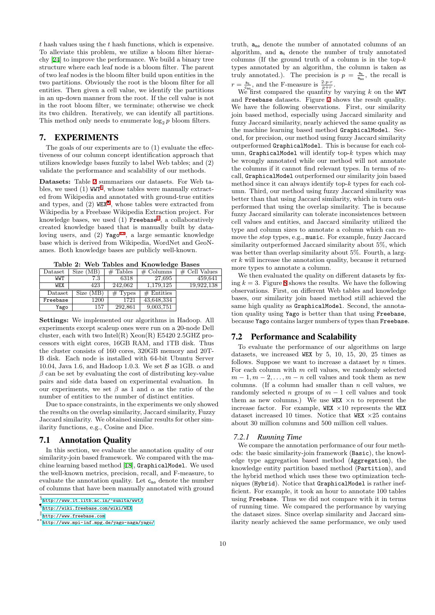*t* hash values using the *t* hash functions, which is expensive. To alleviate this problem, we utilize a bloom filter hierarchy [24] to improve the performance. We build a binary tree structure where each leaf node is a bloom filter. The parent of two leaf nodes is the bloom filter build upon entities in the two partitions. Obviously the root is the bloom filter for all entities. Then given a cell value, we identify the partitions in a[n up](#page-11-28)-down manner from the root. If the cell value is not in the root bloom filter, we terminate; otherwise we check its two children. Iteratively, we can identify all partitions. This method only needs to enumerate  $\log_2 p$  bloom filters.

## 7. EXPERIMENTS

The goals of our experiments are to (1) evaluate the effectiveness of our column concept identification approach that utilizes knowledge bases fuzzily to label Web tables; and (2) validate the performance and scalability of our methods.

<span id="page-9-0"></span>**Datasets:** Table 2 summarizes our datasets. For Web tables, we used (1) WWT*§* , whose tables were manually extracted from Wikipedia and annotated with ground-true entities and types, and (2) WEX*¶* , whose tables were extracted from Wikipedia by a Freebase Wikipedia Extraction project. For knowledge bases, [w](#page-9-1)e [u](#page-9-2)sed (1) Freebase*<sup>∥</sup>* , a collaboratively created knowledge based that is manually built by dataloving users, and (2) [Ya](#page-9-3)go*∗∗*, a large semantic knowledge base which is derived from Wikipedia, WordNet and GeoNames. Both knowledge bases are publicl[y](#page-9-4) well-known.

<span id="page-9-1"></span>**Table 2: Web Tables and Knowledge Bases**

| $\text{Dataset}$ | Size(MB)     | Tables<br>#       | $#$ Columns  | $#$ Cell Values |
|------------------|--------------|-------------------|--------------|-----------------|
| WWT              | 7.3          | 6318              | 27,695       | 459,641         |
| WEX              | 423          | 242,062           | 1,179,125    | 19,922,138      |
| Dataset          | (MB)<br>Size | <b>Types</b><br># | $#$ Entities |                 |
| Freebase         | 1200         | 1721              | 43,648,334   |                 |
| Yago             | 157          | 292.861           | 9,003,751    |                 |

**Settings:** We implemented our algorithms in Hadoop. All experiments except scaleup ones were run on a 20-node Dell cluster, each with two Intel(R)  $Xeon(R)$  E5420 2.5GHZ processors with eight cores, 16GB RAM, and 1TB disk. Thus the cluster consists of 160 cores, 320GB memory and 20T-B disk. Each node is installed with 64-bit Ubuntu Server 10.04, Java 1.6, and Hadoop 1.0.3. We set *B* as 1GB. *α* and  $\beta$  can be set by evaluating the cost of distributing key-value pairs and side data based on experimental evaluation. In our experiments, we set  $\beta$  as 1 and  $\alpha$  as the ratio of the number of entities to the number of distinct entities.

Due to space constraints, in the experiments we only showed the results on the overlap similarity, Jaccard similarity, Fuzzy Jaccard similarity. We obtained similar results for other similarity functions, e.g., Cosine and Dice.

## 7.1 Annotation Quality

In this section, we evaluate the annotation quality of our similarity-join based framework. We compared with the machine learning based method [18], GraphicalModel. We used the well-known metrics, precision, recall, and F-measure, to evaluate the annotation quality. Let  $c_{no}$  denote the number of columns that have been manually annotated with ground

truth,  $a_{no}$  denote the number of annotated columns of an algorithm, and  $a_t$  denote the number of truly annotated columns (If the ground truth of a column is in the top-*k* types annotated by an algorithm, the column is taken as truly annotated.). The precision is  $p = \frac{a_t}{a_{no}}$ , the recall is  $r = \frac{a_t}{b}$ , and the F-measure is  $\frac{2 \cdot p \cdot r}{p+r}$ .

We first compared the quantity by varying  $k$  on the WWT and Freebase datasets. Figure 7 shows the result quality. We have the following observations. First, our similarity join based method, especially using Jaccard similarity and fuzzy Jaccard similarity, nearly achieved the same quality as the machine learning based method GraphicalModel. Second, for precision, our method us[in](#page-10-0)g fuzzy Jaccard similarity outperformed GraphicalModel. This is because for each column, GraphicalModel will identify top-*k* types which may be wrongly annotated while our method will not annotate the columns if it cannot find relevant types. In terms of recall, GraphicalModel outperformed our similarity join based method since it can always identify top-*k* types for each column. Third, our method using fuzzy Jaccard similarity was better than that using Jaccard similarity, which in turn outperformed that using the overlap similarity. The is because fuzzy Jaccard similarity can tolerate inconsistences between cell values and entities, and Jaccard similarity utilized the type and column sizes to annotate a column which can remove the *stop* types, e.g., music. For example, fuzzy Jaccard similarity outperformed Jaccard similarity about 5%, which was better than overlap similarity about 5%. Fourth, a larger *k* will increase the annotation quality, because it returned more types to annotate a column.

We then evaluated the quality on different datasets by fixing  $k = 3$ . Figure 8 shows the results. We have the following observations. First, on different Web tables and knowledge bases, our similarity join based method still achieved the same high quality as GraphicalModel. Second, the annotation quality using Yago is better than that using Freebase, because Yago cont[ai](#page-10-1)ns larger numbers of types than Freebase.

## 7.2 Performance and Scalability

To evaluate the performance of our algorithms on large datasets, we increased WEX by 5, 10, 15, 20, 25 times as follows. Suppose we want to increase a dataset by *n* times. For each column with *m* cell values, we randomly selected  $m-1, m-2, \ldots, m-n$  cell values and took them as new columns. (If a column had smaller than *n* cell values, we randomly selected *n* groups of  $m-1$  cell values and took them as new columns.) We use  $WEX \times n$  to represent the increase factor. For example, WEX *×*10 represents the WEX dataset increased 10 times. Notice that WEX *×*25 contains about 30 million columns and 500 million cell values.

#### *7.2.1 Running Time*

We compare the annotation performance of our four methods: the basic similarity-join framework (Basic), the knowledge type aggregation based method (Aggregation), the knowledge entity partition based method (Partition), and the hybrid method which uses these two optimization techniques (Hybrid). Notice that GraphicalModel is rather inefficient. For example, it took an hour to annotate 100 tables using Freebase. Thus we did not compare with it in terms of running time. We compared the performance by varying the dataset sizes. Since overlap similarity and Jaccard similarity nearly achieved the same performance, we only used

*<sup>§</sup>* http://www.it.iitb.ac.in/~suni[ta/](#page-11-1)wwt/

*<sup>¶</sup>* http://wiki.freebase.com/wiki/WEX

*<sup>∥</sup>* http://www.freebase.com

<span id="page-9-5"></span><span id="page-9-4"></span><span id="page-9-3"></span><span id="page-9-2"></span>*<sup>∗∗</sup>*http://www.mpi-inf.mpg.de/yago-naga/yago/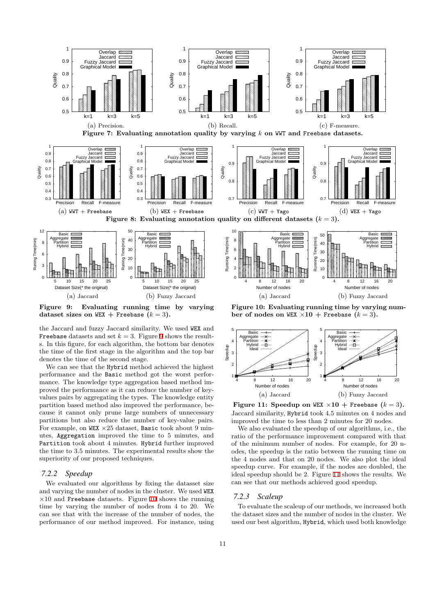<span id="page-10-0"></span>

**Figure 9: Evaluating running time by varying dataset sizes on WEX** + Freebase  $(k = 3)$ .

<span id="page-10-2"></span>the Jaccard and fuzzy Jaccard similarity. We used WEX and Freebase datasets and set  $k = 3$ . Figure 9 shows the results. In this figure, for each algorithm, the bottom bar denotes the time of the first stage in the algorithm and the top bar denotes the time of the second stage.

We can see that the Hybrid method achieved the highest performance and the Basic method go[t t](#page-10-2)he worst performance. The knowledge type aggregation based method improved the performance as it can reduce the number of keyvalues pairs by aggregating the types. The knowledge entity partition based method also improved the performance, because it cannot only prune large numbers of unnecessary partitions but also reduce the number of key-value pairs. For example, on WEX  $\times 25$  dataset, Basic took about 9 minutes, Aggregation improved the time to 5 minutes, and Partition took about 4 minutes. Hybrid further improved the time to 3.5 minutes. The experimental results show the superiority of our proposed techniques.

#### *7.2.2 Speedup*

We evaluated our algorithms by fixing the datasset size and varying the number of nodes in the cluster. We used WEX *×*10 and Freebase datasets. Figure 10 shows the running time by varying the number of nodes from 4 to 20. We can see that with the increase of the number of nodes, the performance of our method improved. For instance, using

<span id="page-10-1"></span>**Figure 10: Evaluating running time by varying number of nodes on WEX**  $\times$ **10** + Freebase ( $k = 3$ ).



**Figure 11: Speedup on** WEX  $\times$ **10** + Freebase ( $k = 3$ ). Jaccard similarity, Hybrid took 4.5 minutes on 4 nodes and improved the time to less than 2 minutes for 20 nodes.

<span id="page-10-3"></span>We also evaluated the speedup of our algorithms, i.e., the ratio of the performance improvement compared with that of the minimum number of nodes. For example, for 20 nodes, the speedup is the ratio between the running time on the 4 nodes and that on 20 nodes. We also plot the ideal speedup curve. For example, if the nodes are doubled, the ideal speedup should be 2. Figure 11 shows the results. We can see that our methods achieved good speedup.

#### *7.2.3 Scaleup*

To evaluate the scaleup of our methods, we increased both the dataset sizes and the number o[f no](#page-10-3)des in the cluster. We used our best algorithm, Hybrid, which used both knowledge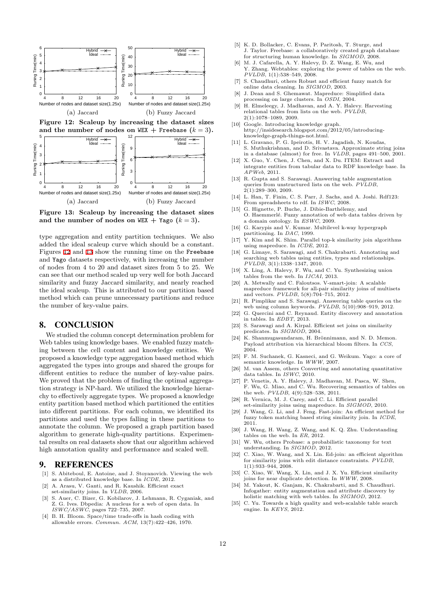

**Figure 12: Scaleup by increasing the dataset sizes** and the number of nodes on  $WEX$  + Freebase  $(k = 3)$ .

<span id="page-11-29"></span>

**Figure 13: Scaleup by increasing the dataset sizes** and the number of nodes on  $WEX + Yago (k = 3)$ .

<span id="page-11-30"></span>type aggregation and entity partition techniques. We also added the ideal scaleup curve which should be a constant. Figures 12 and 13 show the running time on the Freebase and Yago datasets respectively, with increasing the number of nodes from 4 to 20 and dataset sizes from 5 to 25. We can see that our method scaled up very well for both Jaccard similarity and fuzzy Jaccard similarity, and nearly reached the idea[l sc](#page-11-29)aleu[p.](#page-11-30) This is attributed to our partition based method which can prune unnecessary partitions and reduce the number of key-value pairs.

## 8. CONCLUSION

We studied the column concept determination problem for Web tables using knowledge bases. We enabled fuzzy matching between the cell content and knowledge entities. We proposed a knowledge type aggregation based method which aggregated the types into groups and shared the groups for different entities to reduce the number of key-value pairs. We proved that the problem of finding the optimal aggregation strategy is NP-hard. We utilized the knowledge hierarchy to effectively aggregate types. We proposed a knowledge entity partition based method which partitioned the entities into different partitions. For each column, we identified its partitions and used the types falling in these partitions to annotate the column. We proposed a graph partition based algorithm to generate high-quality partitions. Experimental results on real datasets show that our algorithm achieved high annotation quality and performance and scaled well.

## 9. REFERENCES

- [1] S. Abiteboul, E. Antoine, and J. Stoyanovich. Viewing the web as a distributed knowledge base. In *ICDE*, 2012.
- [2] A. Arasu, V. Ganti, and R. Kaushik. Efficient exact set-similarity joins. In *VLDB*, 2006.
- [3] S. Auer, C. Bizer, G. Kobilarov, J. Lehmann, R. Cyganiak, and Z. G. Ives. Dbpedia: A nucleus for a web of open data. In *ISWC/ASWC*, pages 722–735, 2007.
- <span id="page-11-27"></span><span id="page-11-23"></span>[4] B. H. Bloom. Space/time trade-offs in hash coding with allowable errors. *Commun. ACM*, 13(7):422–426, 1970.
- [5] K. D. Bollacker, C. Evans, P. Paritosh, T. Sturge, and J. Taylor. Freebase: a collaboratively created graph database for structuring human knowledge. In *SIGMOD*, 2008.
- [6] M. J. Cafarella, A. Y. Halevy, D. Z. Wang, E. Wu, and Y. Zhang. Webtables: exploring the power of tables on the web. *PVLDB*, 1(1):538–549, 2008.
- [7] S. Chaudhuri, others Robust and efficient fuzzy match for online data cleaning. In *SIGMOD*, 2003.
- <span id="page-11-0"></span>[8] J. Dean and S. Ghemawat. Mapreduce: Simplified data processing on large clusters. In *OSDI*, 2004.
- H. Elmeleegy, J. Madhavan, and A. Y. Halevy. Harvesting relational tables from lists on the web. *PVLDB*, 2(1):1078–1089, 2009.
- <span id="page-11-9"></span><span id="page-11-8"></span>[10] Google. Introducing knowledge graph. http://insidesearch.blogspot.com/2012/05/introducingknowledge-graph-things-not.html.
- <span id="page-11-11"></span>[11] L. Gravano, P. G. Ipeirotis, H. V. Jagadish, N. Koudas, S. Muthukrishnan, and D. Srivastava. Approximate string joins in a database (almost) for free. In *VLDB*, pages 491–500, 2001.
- <span id="page-11-2"></span>[12] X. Guo, Y. Chen, J. Chen, and X. Du. ITEM: Extract and integrate entities from tabular data to RDF knowledge base. In *APWeb*, 2011.
- <span id="page-11-22"></span>[13] R. Gupta and S. Sarawagi. Answering table augmentation queries from unstructured lists on the web. *PVLDB*, 2(1):289–300, 2009.
- <span id="page-11-17"></span>[14] L. Han, T. Finin, C. S. Parr, J. Sachs, and A. Joshi. Rdf123: From spreadsheets to rdf. In *ISWC*, 2008.
- <span id="page-11-6"></span>[15] G. Hignette, P. Buche, J. Dibie-Barthélemy, and O. Haemmerlé. Fuzzy annotation of web data tables driven by a domain ontology. In *ESWC*, 2009.
- [16] G. Karypis and V. Kumar. Multilevel k-way hypergraph partitioning. In *DAC*, 1999.
- <span id="page-11-18"></span><span id="page-11-15"></span>[17] Y. Kim and K. Shim. Parallel top-k similarity join algorithms using mapreduce. In *ICDE*, 2012.
- [18] G. Limaye, S. Sarawagi, and S. Chakrabarti. Annotating and searching web tables using entities, types and relationships. *PVLDB*, 3(1):1338–1347, 2010.
- [19] X. Ling, A. Halevy, F. Wu, and C. Yu. Synthesizing union tables from the web. In *IJCAI*, 2013.
- <span id="page-11-1"></span>[20] A. Metwally and C. Faloutsos. V-smart-join: A scalable mapreduce framework for all-pair similarity joins of multisets and vectors. *PVLDB*, 5(8):704–715, 2012.
- <span id="page-11-12"></span>[21] R. Pimplikar and S. Sarawagi. Answering table queries on the web using column keywords. *PVLDB*, 5(10):908–919, 2012.
- <span id="page-11-25"></span>[22] G. Quercini and C. Reynaud. Entity discovery and annotation in tables. In *EDBT*, 2013.
- [23] S. Sarawagi and A. Kirpal. Efficient set joins on similarity predicates. In *SIGMOD*, 2004.
- <span id="page-11-13"></span>[24] K. Shanmugasundaram, H. Brönnimann, and N. D. Memon. Payload attribution via hierarchical bloom filters. In *CCS*, 2004.
- <span id="page-11-20"></span><span id="page-11-14"></span>[25] F. M. Suchanek, G. Kasneci, and G. Weikum. Yago: a core of semantic knowledge. In *WWW*, 2007.
- <span id="page-11-28"></span>[26] M. van Assem, others Converting and annotating quantitative data tables. In *ISWC*, 2010.
- [27] P. Venetis, A. Y. Halevy, J. Madhavan, M. Pasca, W. Shen, F. Wu, G. Miao, and C. Wu. Recovering semantics of tables on the web. *PVLDB*, 4(9):528–538, 2011.
- <span id="page-11-10"></span>[28] R. Vernica, M. J. Carey, and C. Li. Efficient parallel set-similarity joins using mapreduce. In *SIGMOD*, 2010.
- <span id="page-11-4"></span>[29] J. Wang, G. Li, and J. Feng. Fast-join: An efficient method for fuzzy token matching based string similarity join. In *ICDE*, 2011.
- <span id="page-11-24"></span>[30] J. Wang, H. Wang, Z. Wang, and K. Q. Zhu. Understanding tables on the web. In *ER*, 2012.
- <span id="page-11-26"></span>[31] W. Wu, others Probase: a probabilistic taxonomy for text understanding. In *SIGMOD*, 2012.
- [32] C. Xiao, W. Wang, and X. Lin. Ed-join: an efficient algorithm for similarity joins with edit distance constraints. *PVLDB*, 1(1):933–944, 2008.
- <span id="page-11-16"></span><span id="page-11-3"></span>[33] C. Xiao, W. Wang, X. Lin, and J. X. Yu. Efficient similarity joins for near duplicate detection. In *WWW*, 2008.
- <span id="page-11-19"></span>[34] M. Yakout, K. Ganjam, K. Chakrabarti, and S. Chaudhuri. Infogather: entity augmentation and attribute discovery by holistic matching with web tables. In *SIGMOD*, 2012.
- <span id="page-11-21"></span><span id="page-11-7"></span><span id="page-11-5"></span>[35] C. Yu. Towards a high quality and web-scalable table search engine. In *KEYS*, 2012.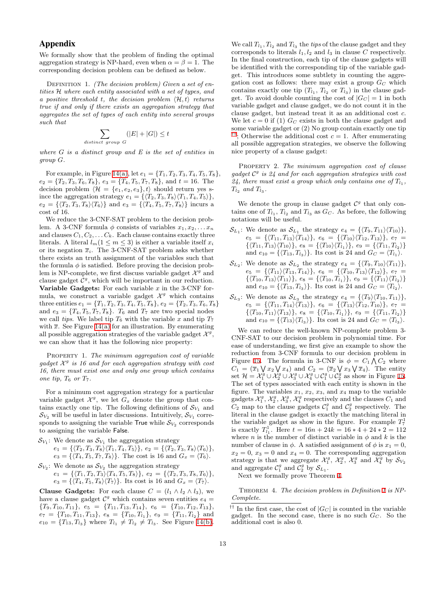## Appendix

We formally show that the problem of finding the optimal aggregation strategy is NP-hard, even when  $\alpha = \beta = 1$ . The corresponding decision problem can be defined as below.

DEFINITION 1. *(The decision problem) Given a set of entities H where each entity associated with a set of types, and a positive threshold t, the decision problem*  $\langle H, t \rangle$  *returns true if and only if there exists an aggregation strategy that aggregates the set of types of each entity into several groups such that*

$$
\sum_{distinct\ group\ G} (|E| + |G|) \le t
$$

*where G is a distinct group and E is the set of entities in group G.*

For example, in Figure 14(a), let  $e_1 = \{T_1, T_2, T_3, T_4, T_5, T_8\}$ ,  $e_2 = \{T_2, T_3, T_6, T_8\}, e_3 = \{T_4, T_5, T_7, T_8\}, \text{ and } t = 16.$  The decision problem  $\langle \mathcal{H} = \{e_1, e_2, e_3\}, t \rangle$  should return yes since the aggregation strategy  $e_1 = \{ \langle T_2, T_3, T_8 \rangle \langle T_1, T_4, T_5 \rangle \},$  $e_2 = \{\langle T_2, T_3, T_8 \rangle \langle T_6 \rangle\}$  [and](#page-13-0)  $e_3 = \{\langle T_4, T_5, T_7, T_8 \rangle\}$  incurs a cost of 16.

We reduce the 3-CNF-SAT problem to the decision problem. A 3-CNF formula  $\phi$  consists of variables  $x_1, x_2, \ldots, x_n$ and clauses  $C_1, C_2, \ldots C_k$ . Each clause contains exactly three literals. A literal  $l_m(1 \leq m \leq 3)$  is either a variable itself  $x_i$ or its negation  $\bar{x}_i$ . The 3-CNF-SAT problem asks whether there exists an truth assignment of the variables such that the formula  $\phi$  is satisfied. Before proving the decision problem is NP-complete, we first discuss variable gadget  $\mathcal{X}^g$  and clause gadget  $\mathcal{C}^g$ , which will be important in our reduction. **Variable Gadgets:** For each variable *x* in the 3-CNF formula, we construct a variable gadget  $\mathcal{X}^g$  which contains three entities  $e_1 = \{T_1, T_2, T_3, T_4, T_5, T_8\}, e_2 = \{T_2, T_3, T_6, T_8\}$ and  $e_3 = \{T_4, T_5, T_7, T_8\}$ .  $T_6$  and  $T_7$  are two special nodes we call *tips*. We label tip  $T_6$  with the variable x and tip  $T_7$ with  $\bar{x}$ . See Figure 14(a) for an illustration. By enumerating all possible aggregation strategies of the variable gadget  $\mathcal{X}^g$ , we can show that it has the following nice property:

Property 1. *The minimum aggregation cost of variable gadget X g is 16 a[nd for](#page-13-0) each aggregation strategy with cost 16, there must exist one and only one group which contains one tip,*  $T_6$  *or*  $T_7$ *.* 

<span id="page-12-2"></span>For a minimum cost aggregation strategy for a particular variable gadget  $\mathcal{X}^g$ , we let  $\tilde{G}_x$  denote the group that contains exactly one tip. The following definitions of  $S_{V_1}$  and  $S_{V_2}$  will be useful in later discussions. Intuitively,  $S_{V_1}$  corresponds to assigning the variable  $\mathsf{True}$  while  $\mathcal{S}_{V_2}$  corresponds to assigning the variable False.

- $\mathcal{S}_{V_1}$ : We denote as  $\mathcal{S}_{V_1}$  the aggregation strategy  $e_1 = \{ \langle T_2, T_3, T_8 \rangle \langle T_1, T_4, T_5 \rangle \},\ e_2 = \{ \langle T_2, T_3, T_8 \rangle \langle T_6 \rangle \},$  $e_3 = \{\langle T_4, T_5, T_7, T_8 \rangle\}$ . The cost is 16 and  $G_x = \langle T_6 \rangle$ .
- $\mathcal{S}_{V_2}$ : We denote as  $\mathcal{S}_{V_2}$  the aggregation strategy  $e_1 = {\langle T_1, T_2, T_3 \rangle \langle T_4, T_5, T_8 \rangle}, e_2 = {\langle T_2, T_3, T_8, T_6 \rangle},$  $e_3 = \{\langle T_4, T_5, T_8 \rangle \langle T_7 \rangle\}$ . Its cost is 16 and  $G_x = \langle T_7 \rangle$ .

**Clause Gadgets:** For each clause  $C = (l_1 \land l_2 \land l_3)$ , we have a clause gadget  $C^g$  which contains seven entities  $e_4 =$  ${T_9, T_{10}, T_{11}}, e_5 = {T_{11}, T_{13}, T_{14}}, e_6 = {T_{10}, T_{12}, T_{13}},$  $e_7 = \{T_{10}, T_{11}, T_{13}\}, e_8 = \{T_{10}, T_{l_1}\}, e_9 = \{T_{11}, T_{l_2}\}$  and  $e_{10} = \{T_{13}, T_{l_3}\}$  where  $T_{l_1} \neq T_{l_2} \neq T_{l_3}$ . See Figure 14(b).

We call  $T_{l_1}, T_{l_2}$  and  $T_{l_3}$  the *tips* of the clause gadget and they corresponds to literals  $l_1, l_2$  and  $l_3$  in clause  $C$  respectively. In the final construction, each tip of the clause gadgets will be identified with the corresponding tip of the variable gadget. This introduces some subtlety in counting the aggregation cost as follows: there may exist a group  $G_C$  which contains exactly one tip  $(T_{l_1}, T_{l_2} \text{ or } T_{l_3})$  in the clause gadget. To avoid double counting the cost of  $|G_C| = 1$  in both variable gadget and clause gadget, we do not count it in the clause gadget, but instead treat it as an additional cost *c*. We let  $c = 0$  if (1)  $G_C$  exists in both the clause gadget and some variable gadget or (2) No group contain exactly one tip <sup>††</sup>; Otherwise the additional cost  $c = 1$ . After enumerating all possible aggregation strategies, we observe the following nice property of a clause gadget:

Property 2. *The minimum aggregation cost of clause [ga](#page-12-0)dget C g is 24 and for each aggregation strategies with cost* 24, there must exist a group which only contains one of  $T_{l_1}$ ,  $T_{l_2}$  *and*  $T_{l_3}$ *.* 

<span id="page-12-3"></span>We denote the group in clause gadget  $\mathcal{C}^g$  that only contains one of  $T_{l_1}$ ,  $T_{l_2}$  and  $T_{l_3}$  as  $G_C$ . As before, the following notations will be useful.

- $\mathcal{S}_{L_1}$ : We denote as  $\mathcal{S}_{L_1}$  the strategy  $e_4 = \{\langle T_9, T_{11} \rangle \langle T_{10} \rangle\},$  $e_5 = {\langle T_{11}, T_{13} \rangle \langle T_{14} \rangle}, \ e_6 = {\langle T_{10} \rangle \langle T_{12}, T_{13} \rangle}, \ e_7 =$  $\{\langle T_{11}, T_{13} \rangle \langle T_{10} \rangle\}, e_8 = \{\langle T_{10} \rangle \langle T_{l_1} \rangle\}, e_9 = \{\langle T_{11}, T_{l_2} \rangle\}$ and  $e_{10} = \{\langle T_{13}, T_{l_3}\rangle\}$ . Its cost is 24 and  $G_C = \langle T_{l_1}\rangle$ .
- $\mathcal{S}_{L_2}$ : We denote as  $\mathcal{S}_{L_2}$  the strategy  $e_4 = \{\langle T_9, T_{10} \rangle \langle T_{11} \rangle\},$  $e_5 = {\langle T_{11} \rangle \langle T_{13}, T_{14} \rangle}, \ e_6 = {\langle T_{10}, T_{13} \rangle \langle T_{12} \rangle}, \ e_7 =$  $\{\langle T_{10}, T_{13} \rangle \langle T_{11} \rangle\},\ e_8 = \{\langle T_{10}, T_{l_1} \rangle\},\ e_9 = \{\langle T_{11} \rangle \langle T_{l_2} \rangle\}$ and  $e_{10} = \{\langle T_{13}, T_{l_3}\rangle\}$ . Its cost is 24 and  $G_C = \langle T_{l_2}\rangle$ .
- $\mathcal{S}_{L_3}$ : We denote as  $\mathcal{S}_{L_3}$  the strategy  $e_4 = \{\langle T_9 \rangle \langle T_{10}, T_{11} \rangle\},\$  $e_5 = {\langle T_{11}, T_{14} \rangle} \langle T_{13} \rangle$ ,  $e_6 = {\langle T_{13} \rangle} \langle T_{12}, T_{10} \rangle$ ,  $e_7 =$  $\{\langle T_{10}, T_{11} \rangle \langle T_{13} \rangle\}, e_8 = \{\langle T_{10}, T_{l_1} \rangle\}, e_9 = \{\langle T_{11}, T_{l_2} \rangle\}$ and  $e_{10} = \{\langle T_{13} \rangle \langle T_{l_3} \rangle\}$ . Its cost is 24 and  $G_C = \langle T_{l_3} \rangle$ .

We can reduce the well-known NP-complete problem 3- CNF-SAT to our decision problem in polynomial time. For ease of understanding, we first give an example to show the reduction from 3-CNF formula to our decision problem in Figure 15. The formula in 3-CNF is  $\phi = C_1 \Lambda C_2$  where  $C_1 = (\overline{x}_1 \vee x_2 \vee x_4)$  and  $C_2 = (\overline{x}_2 \vee x_3 \vee \overline{x}_4)$ . The entity set  $\mathcal{H} = \mathcal{X}_1^g \cup \mathcal{X}_2^g \cup \mathcal{X}_3^g \cup \mathcal{X}_4^g \cup \mathcal{C}_1^g \cup \mathcal{C}_2^g$  as show in Figure 15. The set of types associated with each entity is shown in the figure. The variables  $x_1, x_2, x_3$ , and  $x_4$  map to the variable gadgets  $\mathcal{X}_1^g$  $\mathcal{X}_1^g$  $\mathcal{X}_1^g$ ,  $\mathcal{X}_2^g$ ,  $\mathcal{X}_3^g$ ,  $\mathcal{X}_4^g$  respectively and the clauses  $C_1$  and  $C_2$  map to the clause gadgets  $C_1^g$  and  $C_2^g$  respectively. The literal in the clause gadget is exactly the matching litera[l in](#page-13-1) the variable gadget as show in the figure. For example  $T_7^1$ is exactly  $T_{l_1}^1$ . Here  $t = 16n + 24k = 16 * 4 + 24 * 2 = 112$ where *n* is the number of distinct variable in  $\phi$  and  $k$  is the number of clause in  $\phi$ . A satisfied assignment of  $\phi$  is  $x_1 = 0$ ,  $x_2 = 0$ ,  $x_3 = 0$  and  $x_4 = 0$ . The corresponding aggregation strategy is that we aggregate  $\mathcal{X}_1^g$ ,  $\mathcal{X}_2^g$ ,  $\mathcal{X}_3^g$  and  $\mathcal{X}_4^g$  by  $\mathcal{S}_{V_2}$ and aggregate  $C_1^g$  and  $C_2^g$  by  $S_{L_1}$ .

Next we formally prove Theorem 4.

Theorem 4. *The decision problem in Definition 1 is NP-Complete.*

<span id="page-12-1"></span><span id="page-12-0"></span>*<sup>††</sup>* In the first case, the cost of *|G<sup>C</sup> |* i[s c](#page-12-1)ounted in the variable gadget. In the second case, there is no such  $G_C$ . So the additional cost is also 0.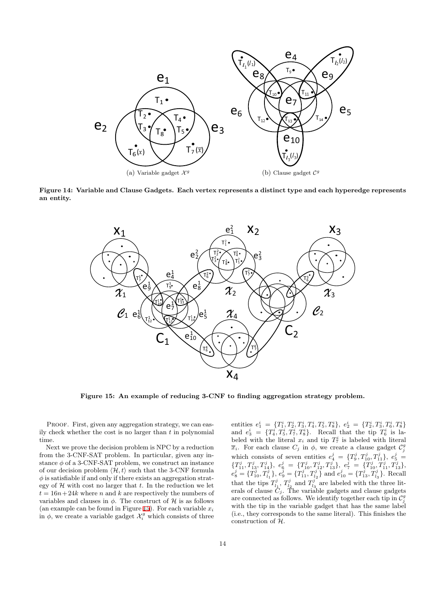<span id="page-13-0"></span>

**Figure 14: Variable and Clause Gadgets. Each vertex represents a distinct type and each hyperedge represents an entity.**



<span id="page-13-1"></span>**Figure 15: An example of reducing 3-CNF to finding aggregation strategy problem.**

PROOF. First, given any aggregation strategy, we can easily check whether the cost is no larger than *t* in polynomial time.

Next we prove the decision problem is NPC by a reduction from the 3-CNF-SAT problem. In particular, given any instance  $\phi$  of a 3-CNF-SAT problem, we construct an instance of our decision problem  $\langle \mathcal{H}, t \rangle$  such that the 3-CNF formula  $\phi$  is satisfiable if and only if there exists an aggregation strategy of  $H$  with cost no larger that  $t$ . In the reduction we let  $t = 16n + 24k$  where *n* and *k* are respectively the numbers of variables and clauses in  $\phi$ . The construct of  $\mathcal H$  is as follows (an example can be found in Figure 15). For each variable  $x_i$ in  $\phi$ , we create a variable gadget  $\mathcal{X}_i^g$  which consists of three

entities  $e_1^i = \{T_1^i, T_2^i, T_3^i, T_4^i, T_5^i, T_8^i\}, e_2^i = \{T_2^i, T_3^i, T_6^i, T_8^i\}$ and  $e_3^i = \{T_4^i, T_5^i, T_7^i, T_8^i\}$ . Recall that the tip  $T_6^i$  is labeled with the literal  $x_i$  and tip  $T_7^i$  is labeled with literal  $\overline{x}_i$ . For each clause  $C_j$  in  $\phi$ , we create a clause gadget  $C_j^g$ *j* which consists of seven entities  $e_4^j = \{T_9^j, T_{10}^j, T_{11}^j\}, e_5^j =$  $\{T_{11}^j, T_{13}^j, T_{14}^j\}, e_6^j = \{T_{10}^j, T_{12}^j, T_{13}^j\}, e_7^j = \{T_{10}^j, T_{11}^j, T_{13}^j\},$  $e_8^j = \{T_{10}^j, T_{l_1}^j\}, e_9^j = \{T_{11}^j, T_{l_2}^j\}$  and  $e_{10}^j = \{T_{13}^j, T_{l_3}^j\}.$  Recall that the tips  $T_{l_1}^j$ ,  $T_{l_2}^j$  and  $T_{l_3}^j$  are labeled with the three literals of clause  $C_j$ . The variable gadgets and clause gadgets are connected as follows. We identify together each tip in  $\mathcal{C}^g_j$ with the tip in the variable gadget that has the same label (i.e., they corresponds to the same literal). This finishes the construction of *H*.